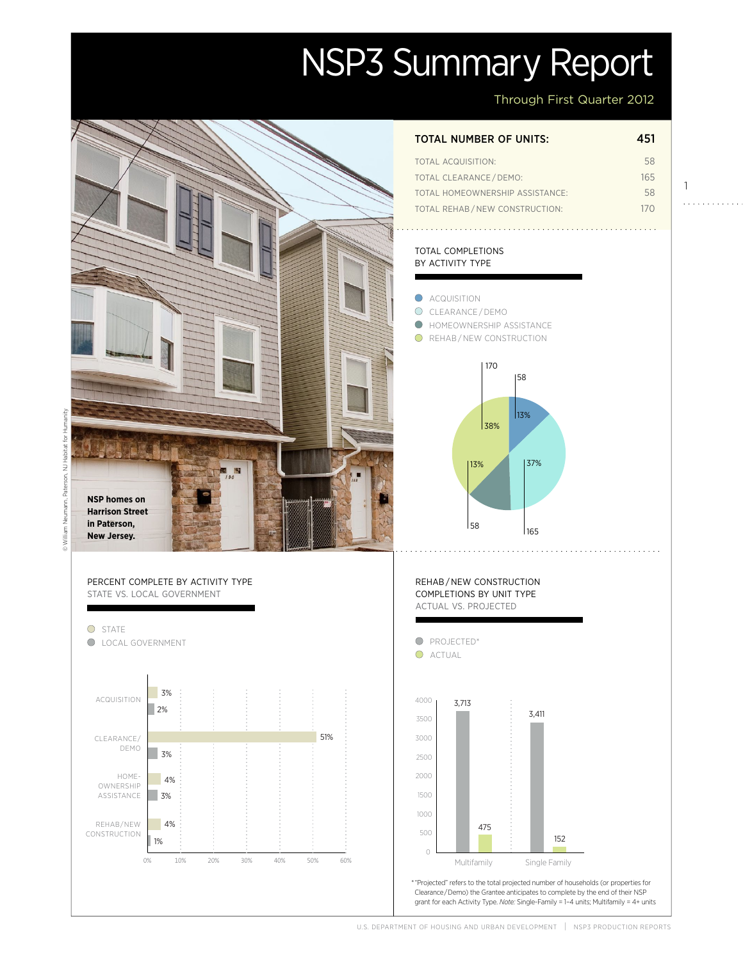# NSP3 Summary Report

Through First Quarter 2012

1

. . . . . . . . . . . .

Actual

Projected

Projected

## **ACQUISITION**  $\bigcirc$ © William Neumann, Paterson, NJ Habitat for Humanity. Pate **NSP homes on**  ann **Harrison Street in Paterson,**  58 Milliam **New Jersey.** Percent complete by activity type state vs. local government O STATE State<br>Local Government **O** PROJECTED\* O ACTUAL



### total number of units: 451

| TOTAL ACQUISITION:              | 58  |
|---------------------------------|-----|
| <b>TOTAL CLEARANCE/DEMO:</b>    | 165 |
| TOTAL HOMEOWNERSHIP ASSISTANCE: | 58  |
| TOTAL REHAB/NEW CONSTRUCTION:   | 170 |

#### total completions by activity type



U.S. DEPARTMENT OF HOUSING AND URBAN DEVELOPMENT | NSP3 PRODUCTION REPORTS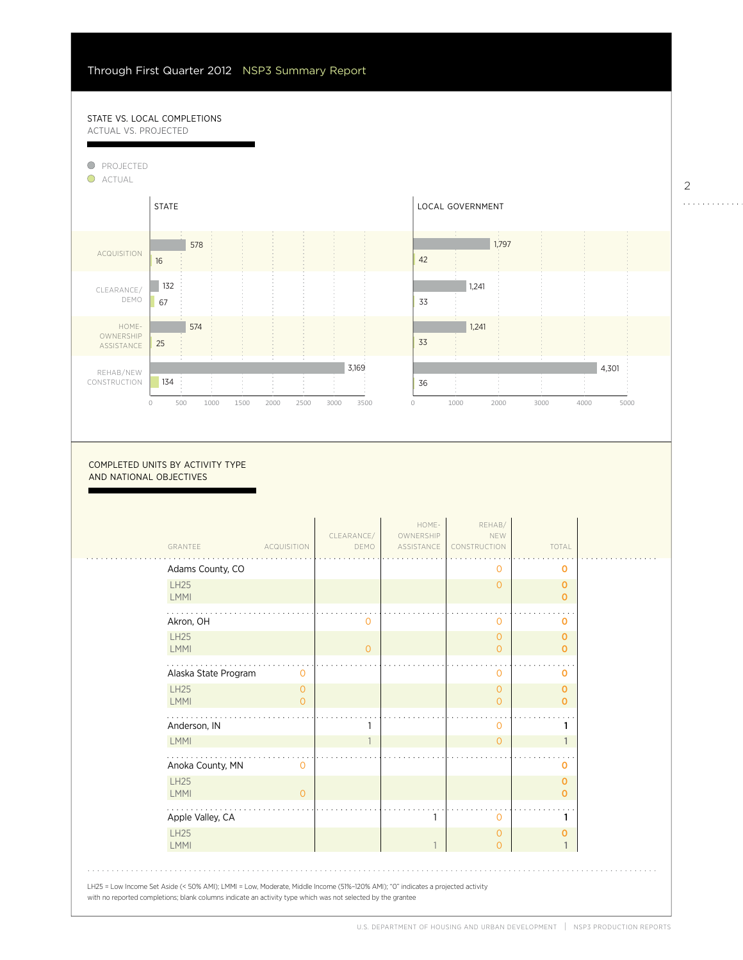#### STATE VS. LOCAL COMPLETIONS actual vs. projected

Г

4%



COMPLETED UNITS BY ACTIVITY TYPE and national objectives

| GRANTEE                    | <b>ACQUISITION</b>               | CLEARANCE/<br>DEMO | HOME-<br>OWNERSHIP<br>ASSISTANCE | REHAB/<br>NEW<br>CONSTRUCTION    | TOTAL                      |  |
|----------------------------|----------------------------------|--------------------|----------------------------------|----------------------------------|----------------------------|--|
| Adams County, CO           |                                  |                    |                                  | 0                                | $\mathbf 0$                |  |
| <b>LH25</b><br><b>LMMI</b> |                                  |                    |                                  | $\mathbf{0}$                     | $\mathbf 0$<br>$\mathbf 0$ |  |
| Akron, OH                  |                                  | Ο                  |                                  | 0                                | O                          |  |
| LH25<br>LMMI               |                                  | $\Omega$           |                                  | $\overline{0}$<br>$\Omega$       | O<br>$\mathbf{O}$          |  |
| Alaska State Program       | $\Omega$                         |                    |                                  | $\circ$                          | O                          |  |
| <b>LH25</b><br><b>LMMI</b> | $\overline{O}$<br>$\overline{O}$ |                    |                                  | $\overline{0}$<br>$\overline{O}$ | $\mathbf 0$<br>$\mathbf 0$ |  |
| Anderson, IN               |                                  |                    |                                  | 0                                | 1                          |  |
| LMMI                       |                                  |                    |                                  | $\overline{O}$                   | $\mathbf{1}$               |  |
| Anoka County, MN           | 0                                |                    |                                  |                                  | O                          |  |
| <b>LH25</b><br><b>LMMI</b> | $\Omega$                         |                    |                                  |                                  | O<br>$\Omega$              |  |
| Apple Valley, CA           |                                  |                    |                                  | 0                                | 1                          |  |
| <b>LH25</b><br><b>LMMI</b> |                                  |                    |                                  | $\overline{O}$<br>$\overline{O}$ | $\mathbf 0$                |  |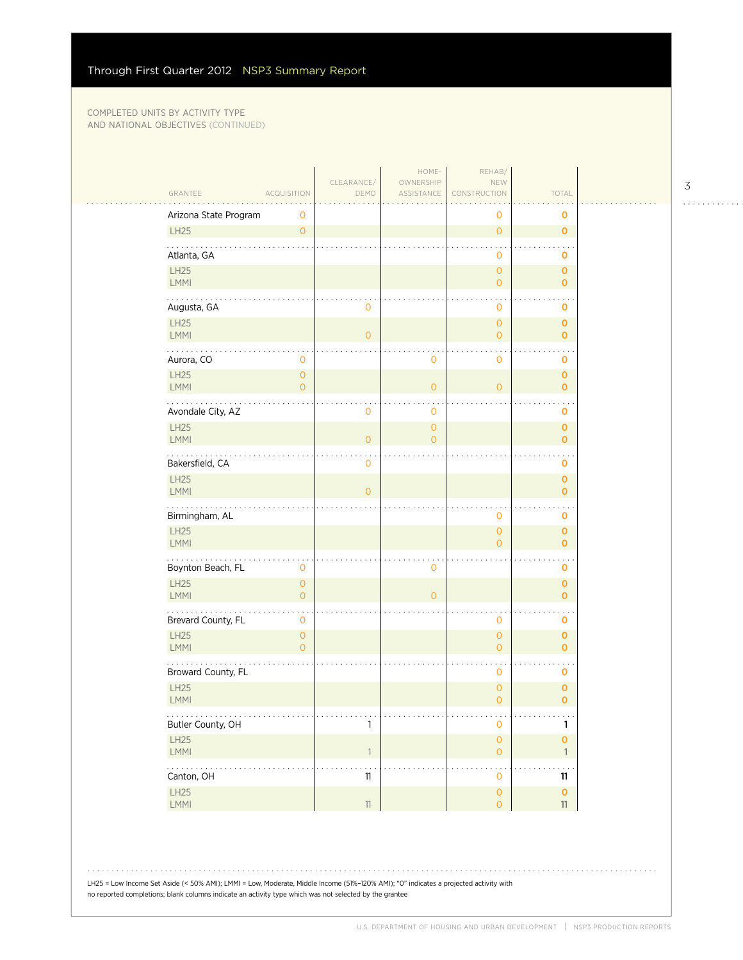$\mathcal{L}_{\mathcal{A}}$ 

| GRANTEE<br><b>ACQUISITION</b>                                  | CLEARANCE/<br>DEMO         | HOME-<br>OWNERSHIP<br>ASSISTANCE | REHAB/<br>NEW<br>CONSTRUCTION         | TOTAL                          |  |
|----------------------------------------------------------------|----------------------------|----------------------------------|---------------------------------------|--------------------------------|--|
| Arizona State Program                                          |                            |                                  | 0                                     | $\mathbf o$                    |  |
| 0<br>LH25<br>$\circ$                                           |                            |                                  | $\overline{0}$                        | $\mathbf 0$                    |  |
| .<br>Atlanta, GA                                               |                            |                                  | 0                                     | o                              |  |
| LH25<br>LMMI                                                   |                            |                                  | $\overline{0}$<br>$\overline{0}$      | $\mathbf{o}$<br>$\mathbf{O}$   |  |
| Augusta, GA                                                    | $\mathbf 0$                |                                  | 0                                     | 0                              |  |
| LH25<br>LMMI                                                   | $\overline{O}$             |                                  | $\mathsf{O}\xspace$<br>$\overline{0}$ | $\mathbf 0$<br>$\mathbf{O}$    |  |
| .<br>Aurora, CO<br>0                                           |                            | $\mathsf{O}\xspace$              | 0                                     | 0                              |  |
| LH25<br>$\circ$<br>LMMI<br>$\overline{O}$                      |                            | $\overline{O}$                   | $\overline{O}$                        | $\mathbf 0$<br>$\overline{0}$  |  |
| Avondale City, AZ                                              | $\mathbf{O}$               | $\mathbf 0$                      |                                       | 0                              |  |
| LH25<br>LMMI                                                   | $\circ$                    | $\overline{O}$<br>$\overline{O}$ |                                       | $\mathbf{o}$<br>$\overline{O}$ |  |
| .<br>Bakersfield, CA                                           | $\mathbf 0$                |                                  |                                       | o                              |  |
| LH25<br><b>LMMI</b>                                            | $\overline{0}$             |                                  |                                       | $\mathbf{o}$<br>$\mathbf{O}$   |  |
| Birmingham, AL                                                 |                            |                                  | 0                                     | 0                              |  |
| LH25<br>LMMI                                                   |                            |                                  | $\overline{0}$<br>$\Omega$            | $\mathbf 0$<br>$\mathbf{O}$    |  |
| Boynton Beach, FL<br>$\mathbf 0$                               |                            | $\mathbf 0$                      |                                       | o                              |  |
| LH25<br>$\overline{O}$<br>LMMI<br>$\overline{0}$               |                            | $\overline{0}$                   |                                       | $\mathbf{O}$<br>$\mathbf 0$    |  |
| .<br>$\ddot{\phantom{a}}$<br>Brevard County, FL<br>$\mathbf 0$ |                            |                                  | 0                                     | 0                              |  |
| LH25<br>$\mathsf{O}\xspace$<br>LMMI<br>$\overline{O}$          |                            |                                  | $\overline{0}$<br>$\overline{O}$      | $\mathbf{o}$<br>$\mathbf{O}$   |  |
| Broward County, FL                                             |                            |                                  | 0                                     | $\mathbf 0$                    |  |
| LH25<br>LMMI                                                   |                            |                                  | 0<br>$\overline{0}$                   | 0<br>$\mathbf 0$               |  |
| .<br>Butler County, OH                                         | 1                          |                                  | 0                                     | 1                              |  |
| LH25<br>LMMI                                                   | $\ensuremath{\mathsf{1}}$  |                                  | $\mathsf{O}\xspace$<br>$\overline{O}$ | $\mathbf 0$<br>$\mathbf{1}$    |  |
| .<br>Canton, OH                                                | $\ddot{\phantom{a}}$<br>11 |                                  | 0                                     | 11                             |  |
| LH25<br>LMMI                                                   | 11                         |                                  | $\mathsf{O}\xspace$<br>$\overline{O}$ | $\mathbf 0$<br>11              |  |

3 . . . . . . . . . . . .

LH25 = Low Income Set Aside (< 50% AMI); LMMI = Low, Moderate, Middle Income (51%–120% AMI); "0" indicates a projected activity with no reported completions; blank columns indicate an activity type which was not selected by the grantee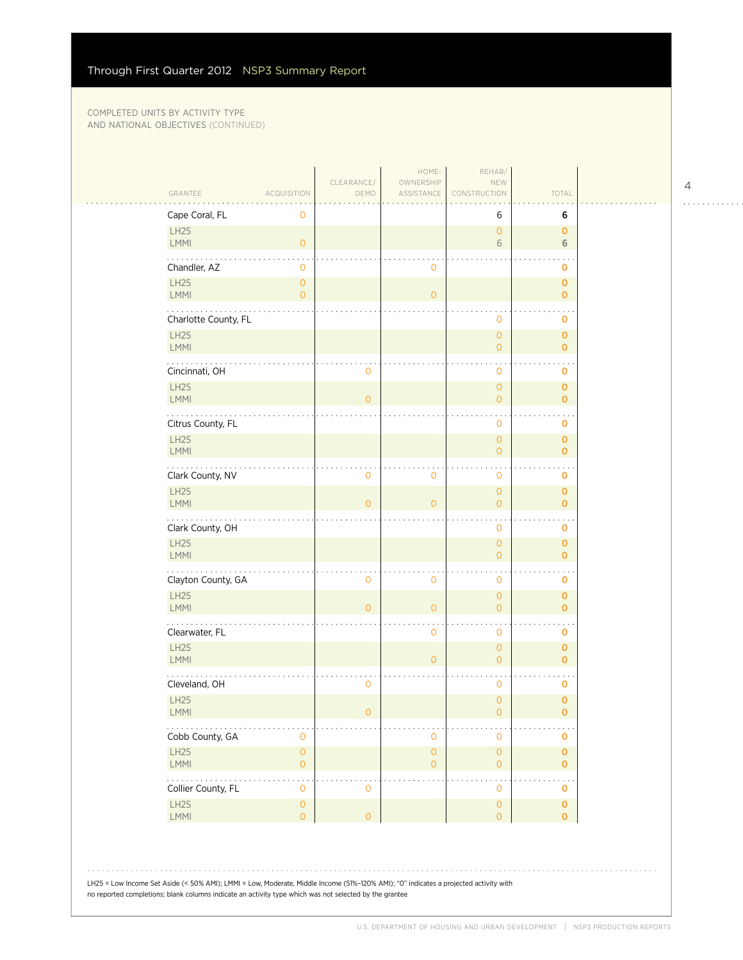| Cape Coral, FL<br>LH25   | 0                                   |                     |                                | 6<br>$\mathbf{O}$                  | 6<br>$\mathbf 0$            |
|--------------------------|-------------------------------------|---------------------|--------------------------------|------------------------------------|-----------------------------|
| LMMI                     | $\overline{O}$                      |                     |                                | 6                                  | 6                           |
| Chandler, AZ             | 0                                   |                     | $\mathbf 0$                    |                                    | 0                           |
| LH25                     | $\mathbf{0}$                        |                     |                                |                                    | $\mathbf{O}$                |
| LMMI<br>.                | $\overline{O}$                      |                     | $\overline{O}$                 |                                    | $\mathbf{O}$                |
| Charlotte County, FL     |                                     |                     |                                | $\mathbf{O}$                       | $\mathbf 0$                 |
| LH25<br>LMMI             |                                     |                     |                                | $\mathbf{O}$<br>$\overline{O}$     | $\mathbf 0$<br>$\mathbf{0}$ |
|                          |                                     | $\mathbf 0$         |                                | $\mathbf 0$                        |                             |
| Cincinnati, OH<br>LH25   |                                     |                     |                                | $\mathbf{O}$                       | O<br>$\mathbf{O}$           |
| LMMI                     |                                     | $\overline{O}$      |                                | $\mathbf{O}$                       | $\mathbf{0}$                |
| Citrus County, FL        |                                     |                     |                                | $\mathbf 0$                        | 0                           |
| LH25<br><b>LMMI</b>      |                                     |                     |                                | $\mathbf{O}$<br>$\overline{O}$     | $\mathbf 0$                 |
| .                        |                                     |                     |                                | $\bullet$                          | $\mathbf 0$                 |
| Clark County, NV<br>LH25 |                                     | $\mathbf 0$         | $\mathbf 0$                    | $\mathbf 0$<br>$\mathbf{O}$        | $\mathbf 0$<br>$\mathbf{O}$ |
| LMMI                     |                                     | $\overline{O}$      | $\Omega$                       | $\overline{O}$                     | $\mathbf{O}$                |
| Clark County, OH         |                                     |                     |                                | $\mathbf 0$                        | $\mathbf 0$                 |
| LH25                     |                                     |                     |                                | $\mathbf{O}$                       | $\mathbf 0$                 |
| LMMI<br>.                |                                     |                     |                                | $\overline{O}$                     | $\mathbf{O}$                |
| Clayton County, GA       |                                     | $\mathbf 0$         | $\mathbf{0}$                   | $\mathbf 0$                        | 0                           |
| LH25<br><b>LMMI</b>      |                                     | $\overline{O}$      | $\mathbf{O}$                   | $\mathbf{O}$<br>$\mathbf{O}$       | $\mathbf{0}$<br>$\mathbf 0$ |
| Clearwater, FL           |                                     |                     | $\mathbf 0$                    | $\mathbf 0$                        | $\mathbf 0$                 |
| LH25                     |                                     |                     |                                | $\mathbf{O}$                       | $\mathbf 0$                 |
| LMMI                     |                                     |                     | $\Omega$                       | $\overline{O}$                     | $\mathbf{0}$                |
| Cleveland, OH            |                                     | $\mathbf 0$         |                                | $\mathbf 0$                        | 0                           |
| LH25<br><b>LMMI</b>      |                                     | 0                   |                                | $\mathbf{O}$<br>0                  | $\mathbf 0$<br>0            |
| .                        |                                     |                     |                                |                                    |                             |
| Cobb County, GA<br>LH25  | 0<br>$\mathsf{O}\xspace$            |                     | $\overline{0}$<br>$\mathsf{O}$ | $\mathbf 0$<br>$\mathsf{O}\xspace$ | O<br>$\mathbf 0$            |
| LMMI                     | $\mathsf{O}\xspace$                 |                     | $\mathsf{O}\xspace$            | $\overline{0}$                     | $\mathbf{0}$                |
| .<br>Collier County, FL  | $\ddot{\phantom{1}}$<br>$\mathbf 0$ | $\mathsf{O}\xspace$ |                                | $\cdot$<br>$\mathbf 0$             | $\mathbf 0$                 |
| LH25                     | $\mathsf O$                         |                     |                                | $\mathbf 0$                        | $\mathbf 0$                 |
| LMMI                     | $\overline{O}$                      | $\mathsf{O}\xspace$ |                                | $\overline{0}$                     | $\mathbf{O}$                |

LH25 = Low Income Set Aside (< 50% AMI); LMMI = Low, Moderate, Middle Income (51%–120% AMI); "0" indicates a projected activity with no reported completions; blank columns indicate an activity type which was not selected by the grantee

 $1.1.1.1.1.1.1.1.1.1$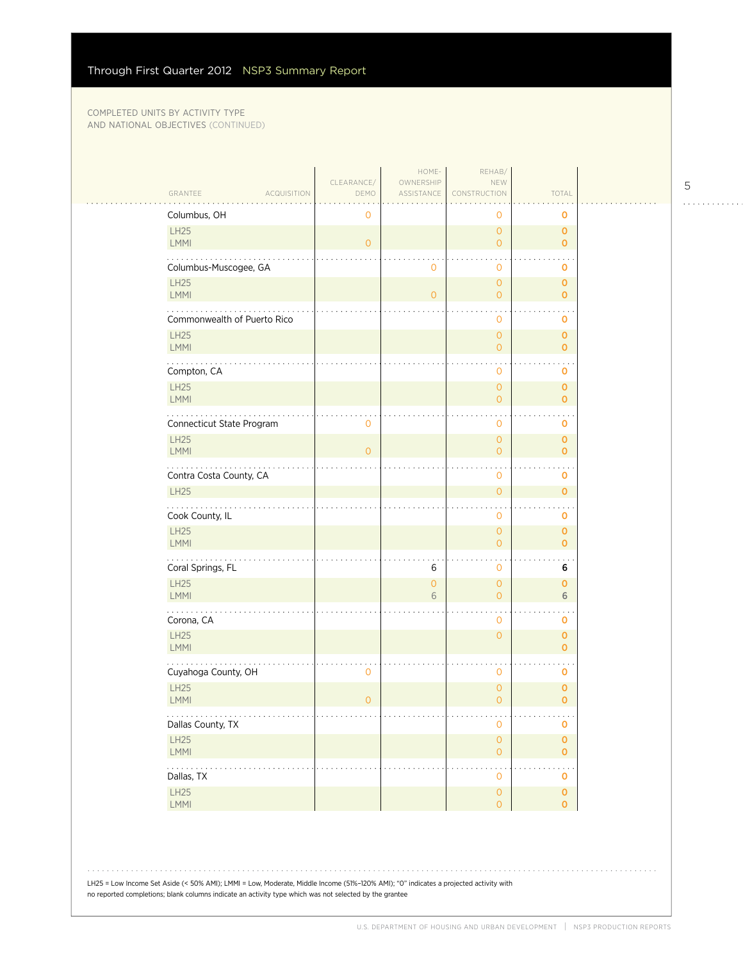$\sim$  . . .

|                               |                    | HOME-                   | REHAB/                                     |                                  |  |
|-------------------------------|--------------------|-------------------------|--------------------------------------------|----------------------------------|--|
| GRANTEE<br><b>ACQUISITION</b> | CLEARANCE/<br>DEMO | OWNERSHIP<br>ASSISTANCE | NEW<br>CONSTRUCTION                        | TOTAL                            |  |
| Columbus, OH                  | $\mathbf 0$        |                         | 0                                          | o                                |  |
| LH25<br><b>LMMI</b>           | $\overline{O}$     |                         | $\overline{0}$<br>$\overline{O}$           | $\mathbf{o}$<br>$\mathbf 0$      |  |
| Columbus-Muscogee, GA         |                    | $\mathbf 0$             | 0                                          | 0                                |  |
| LH25<br>LMMI                  |                    | $\overline{O}$          | $\overline{0}$<br>$\overline{O}$           | $\mathbf 0$<br>$\overline{0}$    |  |
| Commonwealth of Puerto Rico   |                    |                         | 0                                          | $\mathbf 0$                      |  |
| <b>LH25</b><br>LMMI           |                    |                         | $\overline{0}$<br>$\overline{O}$           | $\overline{0}$<br>$\overline{0}$ |  |
| Compton, CA                   |                    |                         | 0                                          | 0                                |  |
| LH25<br><b>LMMI</b>           |                    |                         | $\overline{0}$<br>$\overline{O}$           | $\overline{0}$<br>$\mathbf 0$    |  |
| Connecticut State Program     | 0                  |                         | 0                                          | $\cdot$ .<br>0                   |  |
| LH25<br>LMMI                  | $\overline{O}$     |                         | $\overline{0}$<br>$\overline{0}$           | $\overline{0}$<br>0              |  |
| Contra Costa County, CA       |                    |                         | 0                                          | $\blacksquare$<br>0              |  |
| LH25                          |                    |                         | $\mathsf{O}\xspace$                        | $\overline{0}$                   |  |
| Cook County, IL               |                    |                         | 0                                          | 0                                |  |
| <b>LH25</b><br>LMMI           |                    |                         | $\overline{0}$<br>$\overline{O}$           | 0<br>$\overline{0}$              |  |
| Coral Springs, FL             |                    | 6                       | 0                                          | 6                                |  |
| LH25<br>LMMI                  |                    | $\overline{O}$<br>6     | $\overline{0}$<br>$\overline{0}$           | $\overline{0}$<br>6              |  |
| Corona, CA                    |                    |                         | 0                                          | 0                                |  |
| LH25<br>LMMI                  |                    |                         | $\overline{0}$                             | $\overline{0}$<br>$\mathbf 0$    |  |
| Cuyahoga County, OH           | $\mathbf 0$        |                         | 0                                          | 0                                |  |
| <b>LH25</b><br>LMMI           | $\overline{O}$     |                         | $\mathsf{O}\xspace$<br>$\overline{0}$      | 0<br>$\overline{0}$              |  |
| .<br>Dallas County, TX        |                    |                         | $\sim$ $\sim$ $\sim$<br>0                  | ولوياء<br>0                      |  |
| LH25<br>LMMI                  |                    |                         | $\mathsf{O}\xspace$<br>$\mathsf{O}\xspace$ | 0<br>$\overline{0}$              |  |
| .<br>Dallas, TX               |                    |                         | $\mathsf{O}\xspace$                        | 0                                |  |
| LH25<br>$\mathsf{LMMI}$       |                    |                         | $\mathsf{O}\xspace$<br>$\overline{O}$      | 0<br>$\mathbf 0$                 |  |
|                               |                    |                         |                                            |                                  |  |

LH25 = Low Income Set Aside (< 50% AMI); LMMI = Low, Moderate, Middle Income (51%–120% AMI); "0" indicates a projected activity with no reported completions; blank columns indicate an activity type which was not selected by the grantee

 $1.1.1.1.1.1.1.1.1.1$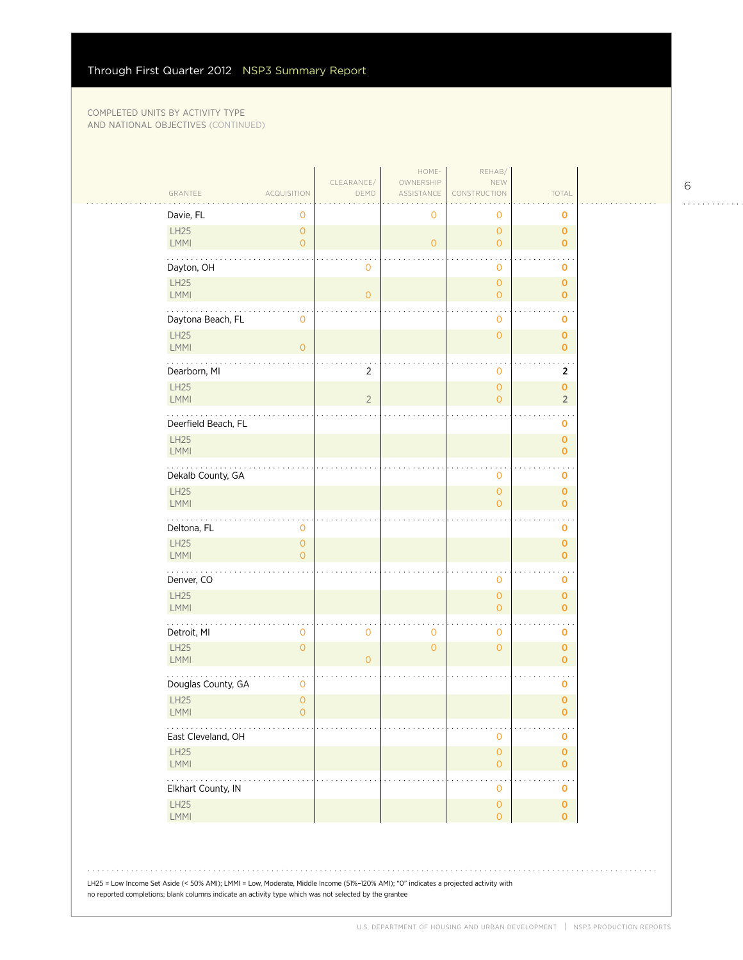| GRANTEE                 | ACQUISITION                           | CLEARANCE/<br>DEMO  | HOME-<br>OWNERSHIP<br>ASSISTANCE | REHAB/<br>NEW<br>CONSTRUCTION         | TOTAL                          |  |
|-------------------------|---------------------------------------|---------------------|----------------------------------|---------------------------------------|--------------------------------|--|
| Davie, FL               | 0                                     |                     | 0                                | 0                                     | O                              |  |
| LH25<br>LMMI            | $\mathsf{O}\xspace$<br>$\overline{O}$ |                     | $\circ$                          | $\mathbf{O}$<br>$\mathbf{O}$          | $\mathbf 0$<br>$\mathbf{0}$    |  |
| Dayton, OH              |                                       | 0                   |                                  | $\mathbf 0$                           | 0                              |  |
| LH25<br>LMMI            |                                       | $\mathsf{O}\xspace$ |                                  | $\mathbf{O}$<br>$\mathsf{O}\xspace$   | $\mathbf 0$<br>$\mathbf{O}$    |  |
| Daytona Beach, FL       | $\mathbf 0$                           |                     |                                  | $\mathbf 0$                           | $\mathbf 0$                    |  |
| LH25<br>LMMI            | $\overline{O}$                        |                     |                                  | $\mathbf{O}$                          | $\mathbf 0$<br>$\mathbf{O}$    |  |
| Dearborn, MI            |                                       | $\overline{2}$      |                                  | $\mathbf 0$                           | 2                              |  |
| LH25<br>LMMI            |                                       | $\sqrt{2}$          |                                  | $\mathbf{O}$<br>$\overline{O}$        | $\mathbf{O}$<br>$\overline{2}$ |  |
| Deerfield Beach, FL     |                                       |                     |                                  |                                       | 0                              |  |
| LH25<br>LMMI            |                                       |                     |                                  |                                       | $\mathbf 0$<br>$\mathbf 0$     |  |
| .<br>Dekalb County, GA  |                                       |                     |                                  | $\mathbf 0$                           | $\mathbf 0$                    |  |
| LH25<br><b>LMMI</b>     |                                       |                     |                                  | $\mathsf{O}\xspace$<br>$\overline{O}$ | $\mathbf 0$<br>$\mathbf{O}$    |  |
| Deltona, FL             | 0                                     |                     |                                  |                                       | $\mathbf 0$                    |  |
| LH25<br>LMMI            | $\mathsf{O}\xspace$<br>$\overline{O}$ |                     |                                  |                                       | $\mathbf 0$<br>$\mathbf{O}$    |  |
| .<br>Denver, CO         |                                       |                     |                                  | $\mathbf 0$                           | 0                              |  |
| LH25<br><b>LMMI</b>     |                                       |                     |                                  | $\mathsf{O}\xspace$<br>$\mathbf{O}$   | $\mathbf 0$<br>$\mathbf{O}$    |  |
| Detroit, MI             | $\mathbf 0$                           | $\overline{0}$      | $\mathbf 0$                      | $\mathbf 0$                           | $\mathbf 0$                    |  |
| LH25<br>LMMI            | $\overline{O}$                        | $\mathsf{O}\xspace$ | $\overline{O}$                   | $\mathbf{O}$                          | $\mathbf 0$<br>$\mathbf{O}$    |  |
| Douglas County, GA      | 0                                     |                     |                                  |                                       | 0                              |  |
| LH25<br><b>LMMI</b>     | $\overline{0}$<br>$\mathbf{O}$        |                     |                                  |                                       | $\mathbf 0$<br>0               |  |
| East Cleveland, OH      |                                       |                     |                                  | $\mathbf 0$<br>$\mathsf{O}\xspace$    | $\mathbf 0$                    |  |
| LH25<br>LMMI            |                                       |                     |                                  | $\mathsf{O}\xspace$                   | $\pmb{0}$<br>$\mathbf{0}$      |  |
| .<br>Elkhart County, IN |                                       |                     |                                  | $\star$<br>$\mathbf 0$                | $\mathbf 0$                    |  |
| LH25<br>LMMI            |                                       |                     |                                  | $\mathsf{O}\xspace$<br>$\mathsf O$    | $\mathbf 0$<br>$\overline{0}$  |  |

LH25 = Low Income Set Aside (< 50% AMI); LMMI = Low, Moderate, Middle Income (51%–120% AMI); "0" indicates a projected activity with no reported completions; blank columns indicate an activity type which was not selected by the grantee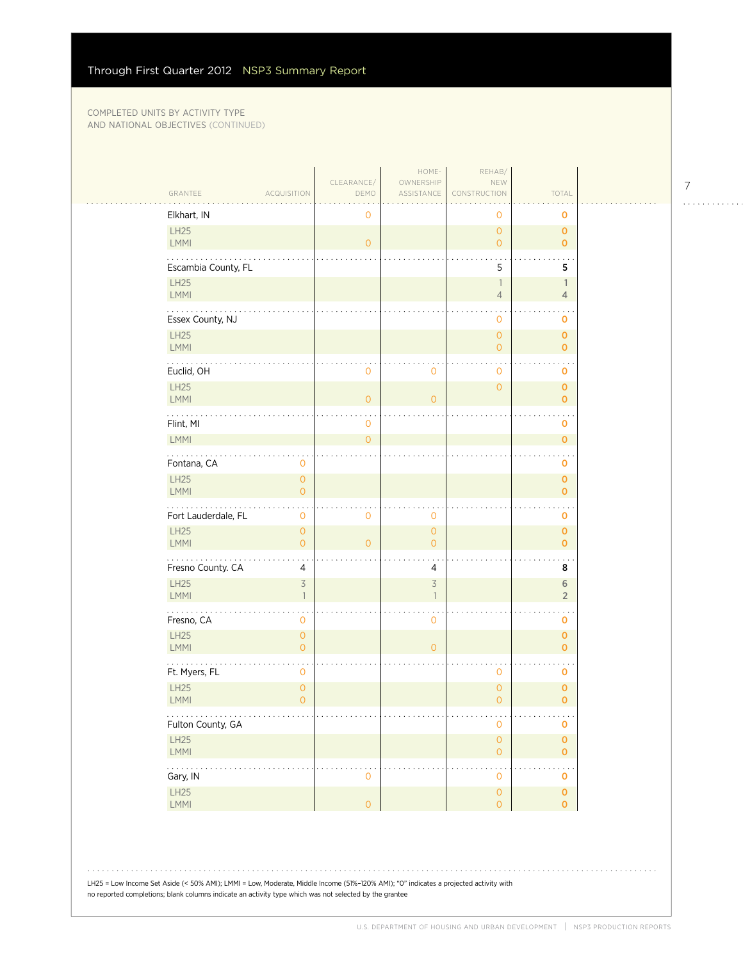|                                    |                                | CLEARANCE/          | HOME-<br>OWNERSHIP                       | REHAB/<br>NEW                         |                                   |
|------------------------------------|--------------------------------|---------------------|------------------------------------------|---------------------------------------|-----------------------------------|
| GRANTEE                            | <b>ACQUISITION</b>             | DEMO                | ASSISTANCE                               | CONSTRUCTION                          | TOTAL                             |
| Elkhart, IN                        |                                | 0                   |                                          | 0                                     | O                                 |
| LH25<br><b>LMMI</b>                |                                | $\overline{O}$      |                                          | $\circ$<br>$\overline{O}$             | $\mathbf{O}$<br>$\mathbf{O}$      |
|                                    |                                |                     |                                          |                                       |                                   |
| Escambia County, FL<br>LH25        |                                |                     |                                          | 5<br>$\mathbf{1}$                     | 5<br>$\mathbb{1}$                 |
| LMMI                               |                                |                     |                                          | $\overline{4}$                        | $\overline{4}$                    |
| Essex County, NJ                   |                                |                     |                                          | $\mathbf 0$                           | $\mathbf 0$                       |
| LH25                               |                                |                     |                                          | $\overline{0}$                        | $\mathbf{O}$                      |
| LMMI                               |                                |                     |                                          | $\overline{0}$                        | $\mathbf{0}$                      |
| Euclid, OH                         |                                | $\mathbf 0$         | $\mathbf 0$                              | $\mathbf 0$                           | $\mathbf 0$                       |
| LH25<br>LMMI                       |                                | $\circ$             | $\overline{0}$                           | $\overline{O}$                        | $\mathbf{O}$<br>$\mathbf{0}$      |
| Flint, MI                          |                                | 0                   |                                          |                                       | 0                                 |
| LMMI                               |                                | $\overline{O}$      |                                          |                                       | $\pmb{0}$                         |
| .<br>Fontana, CA                   | $\mathbf 0$                    |                     |                                          |                                       | $\mathbf 0$                       |
| LH25<br>LMMI                       | $\mathsf{O}\xspace$<br>$\circ$ |                     |                                          |                                       | $\mathbf 0$<br>$\mathbf{0}$       |
|                                    |                                |                     |                                          |                                       |                                   |
| Fort Lauderdale, FL<br><b>LH25</b> | $\mathbf 0$<br>$\overline{0}$  | $\mathbf 0$         | $\mathsf{O}\xspace$<br>$\overline{0}$    |                                       | $\pmb{\mathsf{O}}$<br>$\mathbf 0$ |
| LMMI                               | $\overline{0}$                 | $\overline{O}$      | $\overline{O}$                           |                                       | $\mathbf{O}$                      |
| Fresno County. CA                  | 4                              |                     | 4                                        |                                       | 8                                 |
| LH25<br>LMMI                       | $\preceq$<br>$\mathbb{1}$      |                     | $\overline{\mathcal{S}}$<br>$\mathbf{1}$ |                                       | $\,$ 6 $\,$<br>$\overline{2}$     |
| Fresno, CA                         | $\mathbf 0$                    |                     | $\mathbf 0$                              |                                       | $\mathbf 0$                       |
| LH25<br>LMMI                       | $\overline{0}$<br>$\circ$      |                     | $\overline{0}$                           |                                       | $\mathbf 0$<br>$\mathbf{0}$       |
| Ft. Myers, FL                      | $\mathbf 0$                    |                     |                                          | 0                                     | $\mathbf 0$                       |
| LH25                               | $\theta$<br>$\overline{O}$     |                     |                                          | $\mathsf{O}\xspace$<br>$\overline{O}$ | $\mathbf 0$<br>$\mathbf{o}$       |
| LMMI<br>.                          |                                |                     |                                          |                                       | $\sim$ $\sim$                     |
| Fulton County, GA                  |                                |                     |                                          | 0                                     | $\mathbf 0$                       |
| LH25<br>LMMI                       |                                |                     |                                          | $\mathsf{O}\xspace$<br>$\overline{O}$ | $\pmb{0}$<br>$\mathbf 0$          |
| .<br>Gary, IN                      |                                | $\mathbf 0$         |                                          | $\mathbf 0$                           | $\mathbf 0$                       |
| LH25                               |                                |                     |                                          | $\overline{0}$                        | $\pmb{0}$                         |
| LMMI                               |                                | $\mathsf{O}\xspace$ |                                          | $\overline{O}$                        | $\mathbf{O}$                      |

LH25 = Low Income Set Aside (< 50% AMI); LMMI = Low, Moderate, Middle Income (51%–120% AMI); "0" indicates a projected activity with no reported completions; blank columns indicate an activity type which was not selected by the grantee

7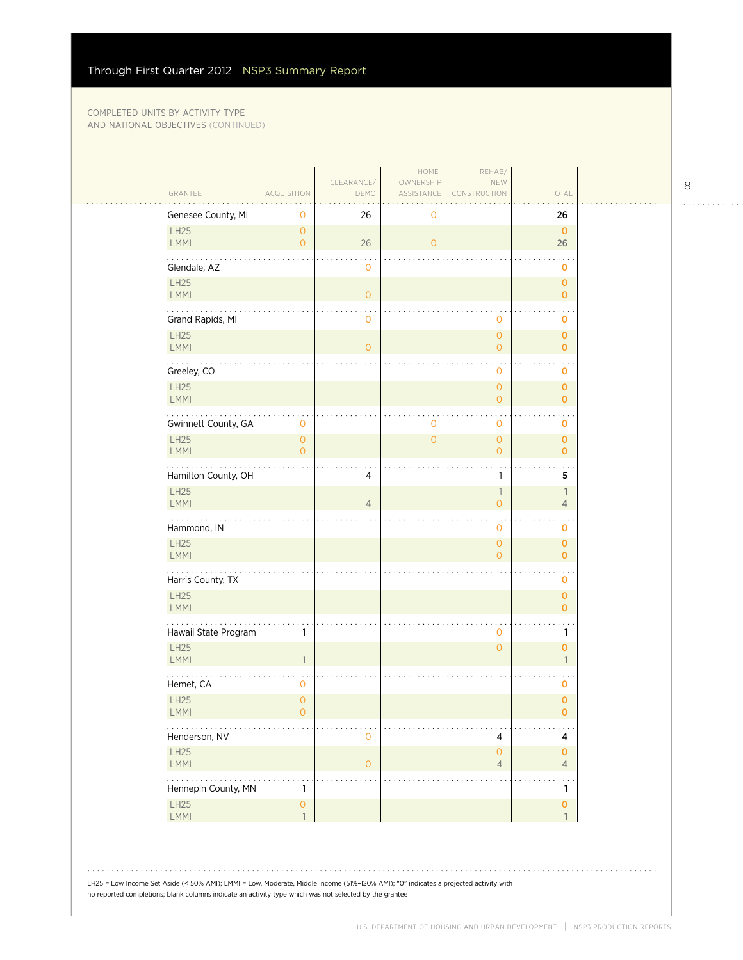|                                                                                                                                                                                                                                                |                     | CLEARANCE/     | HOME-<br>OWNERSHIP  | REHAB/<br>NEW                              |                              |  |
|------------------------------------------------------------------------------------------------------------------------------------------------------------------------------------------------------------------------------------------------|---------------------|----------------|---------------------|--------------------------------------------|------------------------------|--|
| GRANTEE<br><b>ACQUISITION</b>                                                                                                                                                                                                                  |                     | DEMO           | ASSISTANCE          | CONSTRUCTION                               | TOTAL                        |  |
| Genesee County, MI<br>LH25                                                                                                                                                                                                                     | 0<br>$\overline{0}$ | 26             | 0                   |                                            | 26<br>$\mathbf 0$            |  |
| <b>LMMI</b>                                                                                                                                                                                                                                    | $\overline{O}$      | 26             | $\overline{O}$      |                                            | 26                           |  |
| Glendale, AZ                                                                                                                                                                                                                                   |                     | $\mathbf 0$    |                     |                                            | $\mathbf 0$                  |  |
| LH25<br>LMMI                                                                                                                                                                                                                                   |                     | $\mathbf{0}$   |                     |                                            | $\mathbf 0$<br>$\mathbf{o}$  |  |
| .                                                                                                                                                                                                                                              |                     |                |                     |                                            |                              |  |
| Grand Rapids, MI<br>LH25                                                                                                                                                                                                                       |                     | $\mathbf 0$    |                     | 0<br>$\overline{0}$                        | 0<br>$\mathbf 0$             |  |
| LMMI                                                                                                                                                                                                                                           |                     | $\overline{0}$ |                     | $\overline{O}$                             | $\overline{0}$               |  |
| Greeley, CO                                                                                                                                                                                                                                    |                     |                |                     | 0                                          | 0                            |  |
| LH25<br>LMMI                                                                                                                                                                                                                                   |                     |                |                     | $\overline{O}$<br>$\mathbf{0}$             | $\mathbf{O}$<br>$\mathbf{O}$ |  |
|                                                                                                                                                                                                                                                |                     |                |                     |                                            |                              |  |
| Gwinnett County, GA<br>LH25                                                                                                                                                                                                                    | 0<br>$\circ$        |                | 0<br>$\overline{O}$ | 0<br>$\overline{0}$                        | 0<br>$\mathbf 0$             |  |
| <b>LMMI</b>                                                                                                                                                                                                                                    | $\overline{O}$      |                |                     | $\overline{O}$                             | 0                            |  |
| .<br>Hamilton County, OH                                                                                                                                                                                                                       |                     | 4              |                     | 1                                          | 5                            |  |
| LH25<br><b>LMMI</b>                                                                                                                                                                                                                            |                     | $\overline{4}$ |                     | $\overline{\phantom{a}}$<br>$\overline{O}$ | $\mathbf{1}$<br>4            |  |
| Hammond, IN                                                                                                                                                                                                                                    |                     |                |                     | 0                                          | 0                            |  |
| LH25                                                                                                                                                                                                                                           |                     |                |                     | $\mathbf{0}$                               | $\mathbf 0$                  |  |
| <b>LMMI</b>                                                                                                                                                                                                                                    |                     |                |                     | $\overline{O}$                             | $\overline{O}$               |  |
| .<br>Harris County, TX                                                                                                                                                                                                                         |                     |                |                     |                                            | 0                            |  |
| LH25<br><b>LMMI</b>                                                                                                                                                                                                                            |                     |                |                     |                                            | 0<br>$\mathbf{o}$            |  |
| Hawaii State Program                                                                                                                                                                                                                           | 1                   |                |                     | 0                                          | 1                            |  |
| <b>LH25</b>                                                                                                                                                                                                                                    |                     |                |                     | $\overline{0}$                             | $\mathbf{o}$                 |  |
| LMMI                                                                                                                                                                                                                                           | $\overline{1}$      |                |                     |                                            | $\mathbf{1}$                 |  |
| Hemet, CA                                                                                                                                                                                                                                      | 0                   |                |                     |                                            | 0                            |  |
| LH25<br><b>LMMI</b>                                                                                                                                                                                                                            | $\circ$<br>0        |                |                     |                                            | $\mathbf 0$<br>0             |  |
| Henderson, NV                                                                                                                                                                                                                                  |                     | $\mathbf 0$    |                     | 4                                          | 4                            |  |
| LH25                                                                                                                                                                                                                                           |                     |                |                     | $\overline{0}$                             | 0                            |  |
| LMMI<br>$\cdots$                                                                                                                                                                                                                               |                     | $\mathbf 0$    |                     | $\overline{4}$                             | 4<br>$\ddot{\phantom{0}}$    |  |
| Hennepin County, MN                                                                                                                                                                                                                            | 1                   |                |                     |                                            | 1                            |  |
| LH25<br>LMMI                                                                                                                                                                                                                                   | 0<br>$\overline{1}$ |                |                     |                                            | 0<br>$\mathbf{1}$            |  |
|                                                                                                                                                                                                                                                |                     |                |                     |                                            |                              |  |
| LH25 = Low Income Set Aside (< 50% AMI); LMMI = Low, Moderate, Middle Income (51%-120% AMI); "0" indicates a projected activity with<br>no reported completions; blank columns indicate an activity type which was not selected by the grantee |                     |                |                     |                                            |                              |  |

8

. . . . . . . . . . . .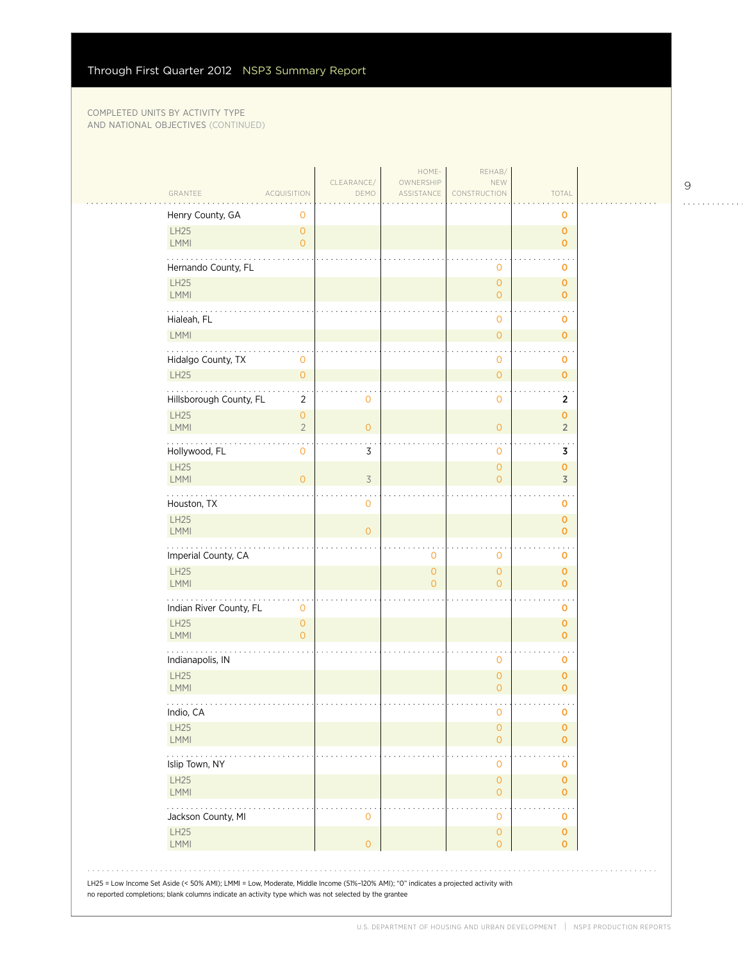| GRANTEE                                    | <b>ACQUISITION</b>                    | CLEARANCE/<br>DEMO | HOME-<br>OWNERSHIP<br>ASSISTANCE | REHAB/<br>NEW<br>CONSTRUCTION         | TOTAL                         |
|--------------------------------------------|---------------------------------------|--------------------|----------------------------------|---------------------------------------|-------------------------------|
| Henry County, GA                           | 0                                     |                    |                                  |                                       | 0                             |
| <b>LH25</b><br>LMMI                        | 0<br>$\overline{O}$                   |                    |                                  |                                       | $\mathbf 0$<br>$\overline{0}$ |
| Hernando County, FL                        |                                       |                    |                                  | $\mathbf 0$                           | o                             |
| <b>LH25</b><br>LMMI                        |                                       |                    |                                  | $\mathsf{O}\xspace$<br>$\mathbf{O}$   | $\mathbf 0$<br>$\overline{0}$ |
| .<br>Hialeah, FL                           |                                       |                    |                                  | $\mathbf 0$                           | o                             |
| LMMI                                       |                                       |                    |                                  | $\mathsf{O}\xspace$                   | $\mathbf 0$                   |
| $\sim$ $\sim$ $\sim$<br>Hidalgo County, TX | 0                                     |                    |                                  | $\ddot{\phantom{1}}$<br>$\mathbf 0$   | 0                             |
| <b>LH25</b>                                | $\overline{O}$                        |                    |                                  | $\mathsf{O}\xspace$                   | $\mathbf{O}$                  |
| Hillsborough County, FL<br><b>LH25</b>     | $\overline{2}$<br>$\mathsf{O}\xspace$ | $\mathbf 0$        |                                  | $\mathbf 0$                           | $\overline{2}$<br>$\mathbf 0$ |
| LMMI                                       | $\overline{2}$                        | $\overline{O}$     |                                  | $\mathbf{O}$                          | $\overline{2}$                |
| Hollywood, FL                              | 0                                     | 3                  |                                  | $\mathbf 0$                           | 3                             |
| <b>LH25</b><br>LMMI                        | $\overline{0}$                        | $\overline{3}$     |                                  | $\mathsf{O}\xspace$<br>$\mathbf{O}$   | $\mathbf 0$<br>$\overline{3}$ |
| Houston, TX                                |                                       | 0                  |                                  |                                       | $\mathbf 0$                   |
| <b>LH25</b><br>LMMI                        |                                       | $\overline{O}$     |                                  |                                       | $\mathbf 0$<br>0              |
| Imperial County, CA                        |                                       |                    | $\mathbf 0$                      | $\mathbf 0$                           | 0                             |
| <b>LH25</b><br>LMMI                        |                                       |                    | $\mathsf{O}\xspace$<br>$\Omega$  | $\mathsf{O}\xspace$<br>$\overline{0}$ | $\mathbf 0$<br>$\mathbf{o}$   |
| Indian River County, FL                    | 0                                     |                    |                                  |                                       | $\mathbf 0$                   |
| <b>LH25</b><br>LMMI                        | $\mathsf{O}\xspace$<br>$\Omega$       |                    |                                  |                                       | $\mathbf 0$<br>0              |
| Indianapolis, IN                           |                                       |                    |                                  | $\mathbf 0$                           | o                             |
| <b>LH25</b><br>LMMI                        |                                       |                    |                                  | $\mathsf{O}\xspace$<br>$\mathbf{O}$   | $\mathbf 0$<br>$\overline{0}$ |
| Indio, CA                                  |                                       |                    |                                  | $\mathbf 0$                           | O                             |
| <b>LH25</b><br>LMMI                        |                                       |                    |                                  | $\mathsf{O}\xspace$<br>$\circ$        | $\pmb{0}$<br>$\overline{0}$   |
| $\sim 100$<br>Islip Town, NY               |                                       |                    |                                  | 0                                     | 0                             |
| <b>LH25</b><br>LMMI                        |                                       |                    |                                  | $\mathsf{O}\xspace$<br>$\mathbf 0$    | $\mathbf 0$<br>0              |
| Jackson County, MI                         |                                       | 0                  |                                  | $\mathbf 0$                           | 0                             |
| LH25<br>LMMI                               |                                       | $\overline{O}$     |                                  | $\mathbf{O}$<br>$\mathbf{O}$          | $\mathbf 0$<br>0              |

9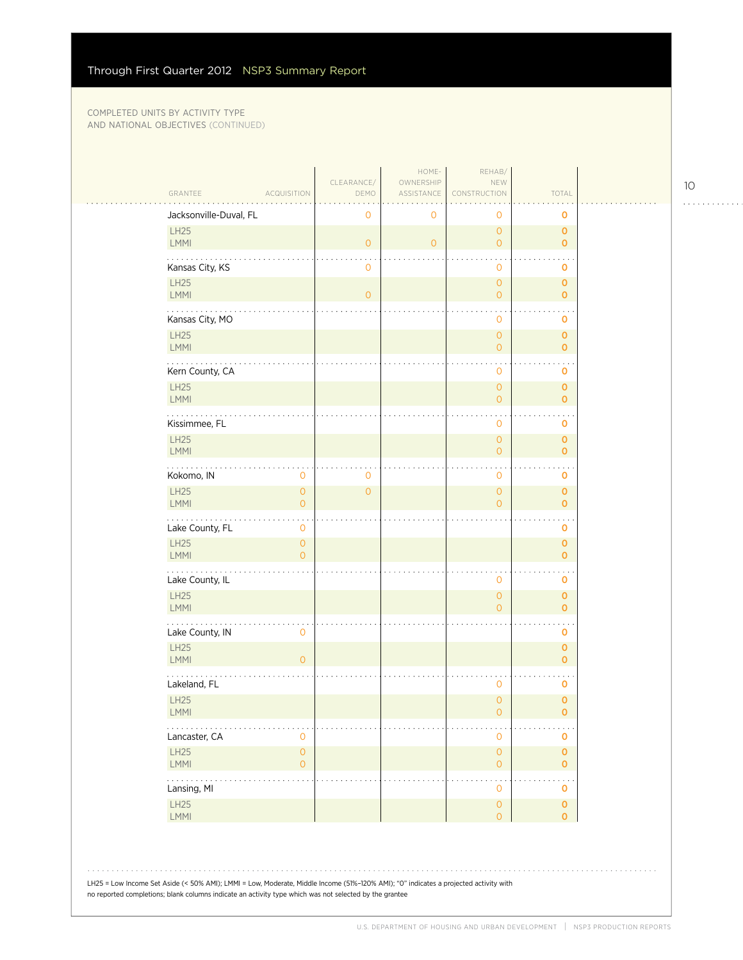| GRANTEE<br><b>ACQUISITION</b>             |                                       | CLEARANCE/<br>DEMO | HOME-<br>OWNERSHIP<br>ASSISTANCE | REHAB/<br>NEW<br>NSTRUCTION           | TOTAL                              |  |
|-------------------------------------------|---------------------------------------|--------------------|----------------------------------|---------------------------------------|------------------------------------|--|
| Jacksonville-Duval, FL                    |                                       | $\mathbf 0$        | 0                                | 0                                     | 0                                  |  |
| <b>LH25</b><br>LMMI                       |                                       | $\mathbf{O}$       | $\circ$                          | $\overline{0}$<br>$\overline{0}$      | $\mathbf 0$<br>$\mathbf{O}$        |  |
| Kansas City, KS                           |                                       | $\mathbf 0$        |                                  | 0                                     | O                                  |  |
| <b>LH25</b><br>LMMI                       |                                       | $\overline{O}$     |                                  | $\mathsf O$<br>$\overline{0}$         | $\pmb{\mathsf{O}}$<br>$\mathbf{o}$ |  |
| Kansas City, MO                           |                                       |                    |                                  | 0                                     | O                                  |  |
| <b>LH25</b><br>LMMI                       |                                       |                    |                                  | $\overline{0}$<br>0                   | $\mathbf{O}$<br>$\mathbf 0$        |  |
| Kern County, CA                           |                                       |                    |                                  | 0                                     | 0                                  |  |
| <b>LH25</b><br>LMMI                       |                                       |                    |                                  | $\mathsf{O}\xspace$<br>$\overline{0}$ | $\mathbf 0$<br>$\mathbf 0$         |  |
| Kissimmee, FL                             |                                       |                    |                                  | 0                                     | $\mathbf 0$                        |  |
| <b>LH25</b><br>LMMI                       |                                       |                    |                                  | $\mathsf{O}\xspace$<br>$\overline{0}$ | $\mathbf 0$<br>$\mathbf{o}$        |  |
| Kokomo, IN                                | 0                                     | 0                  |                                  | $\ddot{\phantom{1}}$<br>0             | 0                                  |  |
| LH25<br>LMMI                              | $\mathsf{O}\xspace$<br>$\overline{O}$ | $\overline{0}$     |                                  | $\mathsf{O}\xspace$<br>$\overline{0}$ | $\mathbf 0$<br>$\mathbf{o}$        |  |
| Lake County, FL                           | $\mathbf 0$                           |                    |                                  |                                       | 0                                  |  |
| <b>LH25</b><br>LMMI                       | $\mathbf{O}$<br>$\overline{O}$        |                    |                                  |                                       | $\mathbf 0$<br>$\mathbf 0$         |  |
| .<br>Lake County, IL                      |                                       |                    |                                  | 0                                     | 0                                  |  |
| LH25<br>LMMI                              |                                       |                    |                                  | $\mathsf O$<br>$\overline{0}$         | $\mathbf 0$<br>$\mathbf{O}$        |  |
| Lake County, IN                           | $\mathbf 0$                           |                    |                                  |                                       | O                                  |  |
| <b>LH25</b><br>LMMI                       | $\overline{O}$                        |                    |                                  |                                       | $\mathbf 0$<br>$\mathbf 0$         |  |
| Lakeland, FL                              |                                       |                    |                                  | 0                                     | 0                                  |  |
| LH25<br><b>LMMI</b>                       |                                       |                    |                                  | $\mathsf{O}\xspace$<br>0              | $\mathbf 0$<br>0                   |  |
| $\cdots$<br>Lancaster, CA                 | 0                                     |                    |                                  | 0                                     | o                                  |  |
| LH25<br>LMMI                              | $\mathsf{O}\xspace$<br>$\overline{0}$ |                    |                                  | $\mathsf O$<br>$\mathsf{O}\xspace$    | $\pmb{0}$<br>$\overline{0}$        |  |
| $\omega$ is a second order<br>Lansing, MI |                                       |                    |                                  | $\ddot{\phantom{0}}$<br>0             | $\ddotsc$<br>0                     |  |
| LH25<br>LMMI                              |                                       |                    |                                  | $\mathsf{O}\xspace$<br>$\overline{0}$ | $\mathbf 0$<br>0                   |  |
|                                           |                                       |                    |                                  |                                       |                                    |  |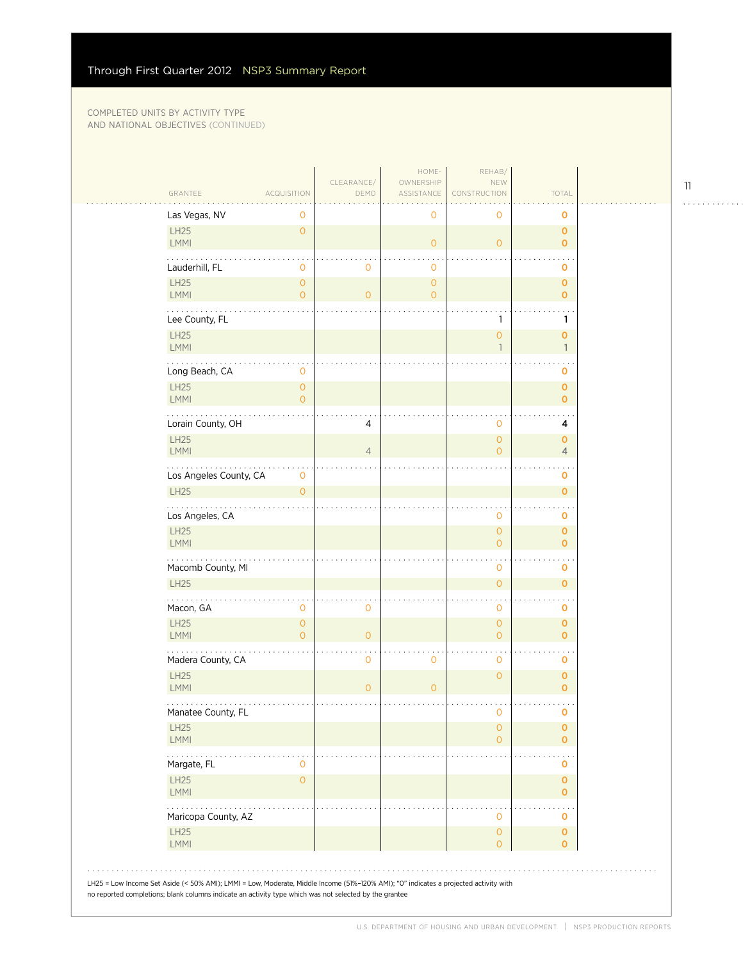| GRANTEE                     | <b>ACQUISITION</b>               | CLEARANCE/<br>DEMO | HOME-<br>OWNERSHIP<br>ASSISTANCE | REHAB/<br>NEW<br>CONSTRUCTION         | TOTAL                         |  |
|-----------------------------|----------------------------------|--------------------|----------------------------------|---------------------------------------|-------------------------------|--|
| Las Vegas, NV               | 0                                |                    | $\mathbf 0$                      | 0                                     | O                             |  |
| <b>LH25</b><br><b>LMMI</b>  | $\overline{O}$                   |                    | $\mathsf{O}\xspace$              | $\overline{O}$                        | $\mathbf{O}$<br>$\mathbf{O}$  |  |
| Lauderhill, FL              | 0                                | 0                  | $\mathbf 0$                      |                                       | 0                             |  |
| LH25                        | 0                                |                    | $\mathsf{O}\xspace$              |                                       | $\mathbf{O}$                  |  |
| <b>LMMI</b>                 | $\overline{0}$                   | $\circ$            | $\overline{O}$                   |                                       | $\overline{0}$                |  |
| .<br>Lee County, FL         |                                  |                    |                                  | $\mathbf{1}$                          | 1                             |  |
| <b>LH25</b>                 |                                  |                    |                                  | $\overline{0}$                        | $\mathbf 0$                   |  |
| <b>LMMI</b>                 |                                  |                    |                                  | $\mathbf{1}$                          | $\mathbf{1}$                  |  |
| Long Beach, CA              | 0                                |                    |                                  |                                       | 0                             |  |
| <b>LH25</b><br>LMMI         | $\overline{0}$<br>0              |                    |                                  |                                       | $\mathbf{O}$<br>$\mathbf 0$   |  |
| Lorain County, OH           |                                  | 4                  |                                  | 0                                     | 4                             |  |
| <b>LH25</b>                 |                                  |                    |                                  | $\mathbf 0$                           | $\mathbf{O}$                  |  |
| LMMI                        |                                  | $\overline{4}$     |                                  | $\overline{0}$                        | $\overline{4}$                |  |
| .<br>Los Angeles County, CA | 0                                |                    |                                  |                                       | o                             |  |
| <b>LH25</b>                 | $\overline{O}$                   |                    |                                  |                                       | $\mathbf{O}$                  |  |
| Los Angeles, CA             |                                  |                    |                                  | $\mathbf 0$                           | $\mathbf 0$                   |  |
| <b>LH25</b><br><b>LMMI</b>  |                                  |                    |                                  | $\overline{0}$<br>$\Omega$            | $\mathbf 0$<br>$\overline{O}$ |  |
| Macomb County, MI           |                                  |                    |                                  | 0                                     | O                             |  |
| <b>LH25</b>                 |                                  |                    |                                  | $\overline{O}$                        | $\mathbf{O}$                  |  |
| .                           |                                  |                    |                                  |                                       |                               |  |
| Macon, GA                   | 0                                | 0                  |                                  | 0                                     | o                             |  |
| <b>LH25</b><br><b>LMMI</b>  | $\overline{O}$<br>$\overline{O}$ | $\overline{O}$     |                                  | $\mathbf{0}$<br>$\overline{O}$        | $\mathbf{O}$<br>$\mathbf{o}$  |  |
| Madera County, CA           |                                  | $\mathbf{O}$       | $\mathbf 0$                      | 0                                     | 0                             |  |
| <b>LH25</b>                 |                                  |                    |                                  | $\overline{0}$                        | $\mathbf{O}$                  |  |
| LMMI                        |                                  | $\overline{0}$     | $\overline{O}$                   |                                       | $\overline{0}$                |  |
| Manatee County, FL          |                                  |                    |                                  | 0                                     | 0                             |  |
| <b>LH25</b><br>LMMI         |                                  |                    |                                  | $\overline{0}$<br>$\overline{O}$      | $\mathbf 0$<br>$\overline{0}$ |  |
| Margate, FL                 | 0                                |                    |                                  |                                       | o                             |  |
| <b>LH25</b><br>LMMI         | $\overline{0}$                   |                    |                                  |                                       | $\mathbf 0$<br>$\mathbf 0$    |  |
| Maricopa County, AZ         |                                  |                    |                                  | 0                                     | 0                             |  |
| <b>LH25</b><br>LMMI         |                                  |                    |                                  | $\mathsf{O}\xspace$<br>$\overline{O}$ | $\mathbf 0$<br>0              |  |

11

. . . . . . . . . . . .

 $\ddot{\phantom{a}}$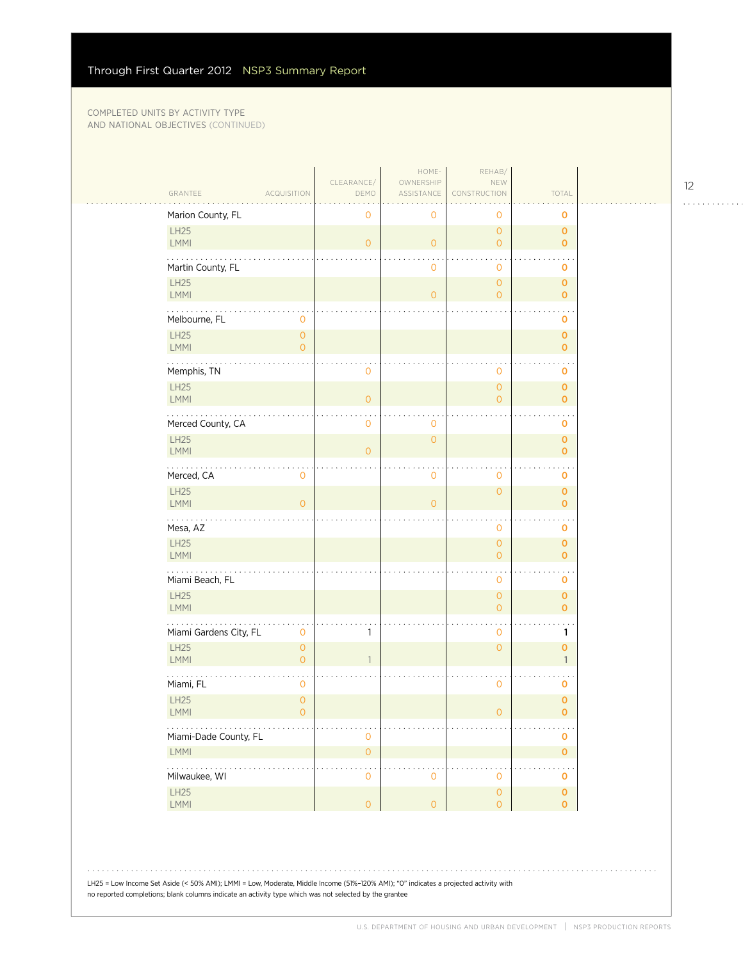| GRANTEE<br><b>ACQUISITION</b>                                            | CLEARANCE/<br>DEMO  | HOME-<br>OWNERSHIP<br>ASSISTANCE | REHAB/<br>NEW<br>CONSTRUCTION         | TOTAL                             |  |
|--------------------------------------------------------------------------|---------------------|----------------------------------|---------------------------------------|-----------------------------------|--|
| Marion County, FL                                                        | 0                   | 0                                | $\circ$                               | 0                                 |  |
| LH25<br>LMMI                                                             | $\overline{0}$      | $\mathsf{O}\xspace$              | $\overline{O}$<br>$\overline{O}$      | $\mathbf 0$<br>$\mathbf{o}$       |  |
| Martin County, FL                                                        |                     | 0                                | $\mathbf 0$                           | 0                                 |  |
| <b>LH25</b><br>LMMI                                                      |                     | $\overline{O}$                   | $\overline{0}$<br>$\overline{O}$      | $\pmb{0}$<br>$\mathbf{o}$         |  |
| Melbourne, FL<br>0                                                       |                     |                                  |                                       | o                                 |  |
| LH25<br>$\mathsf{O}\xspace$<br>LMMI<br>$\overline{0}$                    |                     |                                  |                                       | $\mathbf 0$<br>$\mathbf 0$        |  |
| Memphis, TN                                                              | 0                   |                                  | $\mathbf 0$                           | $\mathbf 0$                       |  |
| LH25<br>LMMI                                                             | $\overline{O}$      |                                  | $\mathsf{O}\xspace$<br>$\overline{O}$ | $\pmb{\mathsf{O}}$<br>$\mathbf 0$ |  |
| Merced County, CA                                                        | 0                   | 0                                |                                       | $\mathbf 0$                       |  |
| LH25<br>LMMI                                                             | $\overline{0}$      | $\mathsf{O}\xspace$              |                                       | $\pmb{0}$<br>$\mathbf 0$          |  |
| .<br>Merced, CA<br>0                                                     |                     | 0                                | $\mathbf 0$                           | $\ddot{\phantom{0}}$<br>o         |  |
| LH25<br><b>LMMI</b><br>$\overline{0}$                                    |                     | $\overline{O}$                   | $\overline{O}$                        | $\mathbf 0$<br>$\mathbf 0$        |  |
| Mesa, AZ                                                                 |                     |                                  | $\mathbf 0$                           | $\mathbf 0$                       |  |
| LH25<br>LMMI                                                             |                     |                                  | $\overline{O}$<br>$\overline{O}$      | $\pmb{0}$<br>$\mathbf 0$          |  |
| .<br>Miami Beach, FL                                                     |                     |                                  | $\mathbf 0$                           | o                                 |  |
| LH25<br><b>LMMI</b>                                                      |                     |                                  | $\mathsf{O}\xspace$<br>$\overline{O}$ | $\pmb{0}$<br>$\mathbf 0$          |  |
| Miami Gardens City, FL<br>$\mathbf 0$                                    | 1                   |                                  | $\mathbf 0$                           | 1                                 |  |
| <b>LH25</b><br>$\mathsf{O}\xspace$<br><b>LMMI</b><br>$\mathsf{O}\xspace$ |                     |                                  | $\overline{O}$                        | $\mathbf 0$<br>$\mathbf{1}$       |  |
| Miami, FL<br>$\mathbf 0$                                                 |                     |                                  | $\mathbf 0$                           | $\mathbf 0$                       |  |
| LH25<br>$\mathsf{O}$<br>LMMI<br>$\mathsf{O}\xspace$                      |                     |                                  | $\mathsf O$                           | $\mathbf 0$<br>0                  |  |
| Miami-Dade County, FL                                                    | 0                   |                                  |                                       | 0                                 |  |
| LMMI                                                                     | $\mathsf{O}\xspace$ |                                  |                                       | $\pmb{0}$                         |  |
| .<br>Milwaukee, WI                                                       | 0                   | $\mathbf 0$                      | $\mathbf 0$                           | $\mathbf 0$                       |  |
| LH25<br>LMMI                                                             | $\mathsf{O}\xspace$ | $\mathsf{O}\xspace$              | $\mathsf{O}\xspace$<br>$\overline{O}$ | $\pmb{0}$<br>$\mathbf 0$          |  |

12 . . . . . . . . . . . .

LH25 = Low Income Set Aside (< 50% AMI); LMMI = Low, Moderate, Middle Income (51%–120% AMI); "0" indicates a projected activity with no reported completions; blank columns indicate an activity type which was not selected by the grantee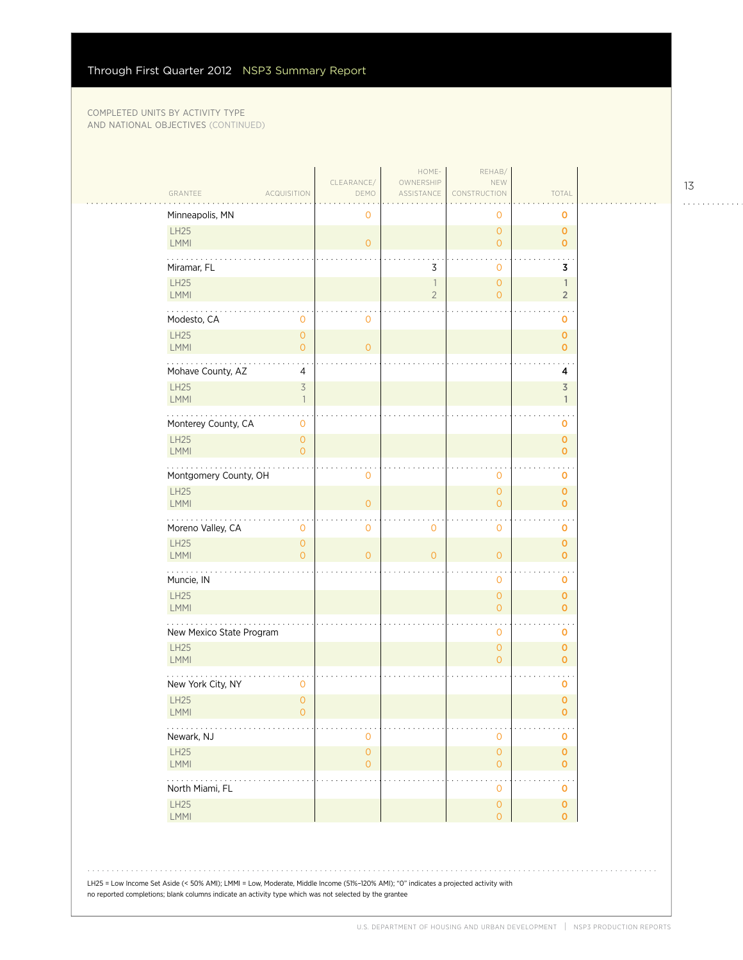|                                         |                                            | CLEARANCE/          | HOME-<br>OWNERSHIP       | REHAB/<br>NEW                         |                              |
|-----------------------------------------|--------------------------------------------|---------------------|--------------------------|---------------------------------------|------------------------------|
| GRANTEE                                 | <b>ACQUISITION</b>                         | DEMO                | ASSISTANCE               | CONSTRUCTION                          | TOTAL                        |
| Minneapolis, MN                         |                                            | 0                   |                          | 0                                     | 0                            |
| <b>LH25</b><br><b>LMMI</b>              |                                            | $\overline{O}$      |                          | $\circ$<br>$\overline{O}$             | 0<br>$\overline{O}$          |
| Miramar, FL                             |                                            |                     | 3                        | $\mathbf{O}$                          | 3                            |
| LH25                                    |                                            |                     | $\overline{\phantom{a}}$ | $\circ$                               | 1                            |
| <b>LMMI</b>                             |                                            |                     | $\sqrt{2}$               | $\overline{O}$                        | $\overline{2}$               |
| Modesto, CA                             | 0                                          | 0                   |                          |                                       | 0                            |
| LH25<br><b>LMMI</b>                     | $\mathsf{O}\xspace$<br>$\overline{O}$      | $\overline{O}$      |                          |                                       | $\mathbf 0$<br>$\mathbf{O}$  |
|                                         |                                            |                     |                          |                                       |                              |
| Mohave County, AZ<br><b>LH25</b>        | $\overline{4}$<br>$\overline{\mathcal{S}}$ |                     |                          |                                       | 4<br>$\overline{3}$          |
| <b>LMMI</b>                             | $\overline{1}$                             |                     |                          |                                       | $\mathbf{1}$                 |
| Monterey County, CA                     | 0                                          |                     |                          |                                       | 0                            |
| <b>LH25</b>                             | $\overline{0}$                             |                     |                          |                                       | $\overline{0}$               |
| <b>LMMI</b>                             | $\Omega$                                   |                     |                          |                                       | 0                            |
| Montgomery County, OH                   |                                            | 0                   |                          | $\mathbf 0$                           | 0                            |
| <b>LH25</b><br><b>LMMI</b>              |                                            | $\overline{O}$      |                          | $\mathsf{O}\xspace$<br>$\overline{0}$ | $\mathbf{o}$<br>$\mathbf{o}$ |
| Moreno Valley, CA                       | 0                                          | 0                   | $\mathsf{O}\xspace$      | $\mathbf{O}$                          | 0                            |
| <b>LH25</b>                             | $\mathsf{O}\xspace$                        |                     |                          |                                       | 0                            |
| <b>LMMI</b>                             | $\overline{O}$                             | $\Omega$            | $\overline{O}$           | $\circ$                               | $\overline{O}$               |
| .<br>Muncie, IN                         |                                            |                     |                          | 0                                     | 0                            |
| <b>LH25</b><br><b>LMMI</b>              |                                            |                     |                          | $\circ$<br>$\overline{O}$             | $\overline{O}$<br>0          |
|                                         |                                            |                     |                          |                                       |                              |
| New Mexico State Program<br><b>LH25</b> |                                            |                     |                          | $\mathbf 0$<br>$\overline{0}$         | 0<br>0                       |
| <b>LMMI</b>                             |                                            |                     |                          | $\overline{O}$                        | $\overline{0}$               |
| New York City, NY                       | $\mathbf 0$                                |                     |                          |                                       | 0                            |
| <b>LH25</b>                             | $\overline{0}$                             |                     |                          |                                       | 0                            |
| <b>LMMI</b>                             |                                            |                     |                          |                                       | 0                            |
| Newark, NJ                              |                                            | 0<br>$\overline{0}$ |                          | $\mathbf{O}$                          | 0                            |
| LH25<br>LMMI                            |                                            | $\overline{O}$      |                          | $\mathsf{O}\xspace$<br>$\circ$        | $\pmb{\mathsf{O}}$<br>0      |
| $\ddotsc$<br>North Miami, FL            |                                            |                     |                          | $\mathbf{O}$                          | 0                            |
| LH25                                    |                                            |                     |                          | $\mathsf{O}\xspace$                   | $\mathbf 0$                  |
| LMMI                                    |                                            |                     |                          | $\Omega$                              | $\mathbf{0}$                 |
|                                         |                                            |                     |                          |                                       |                              |

no reported completions; blank columns indicate an activity type which was not selected by the grantee

13

. . . . . . . . . . . .

 $\ddot{\phantom{a}}$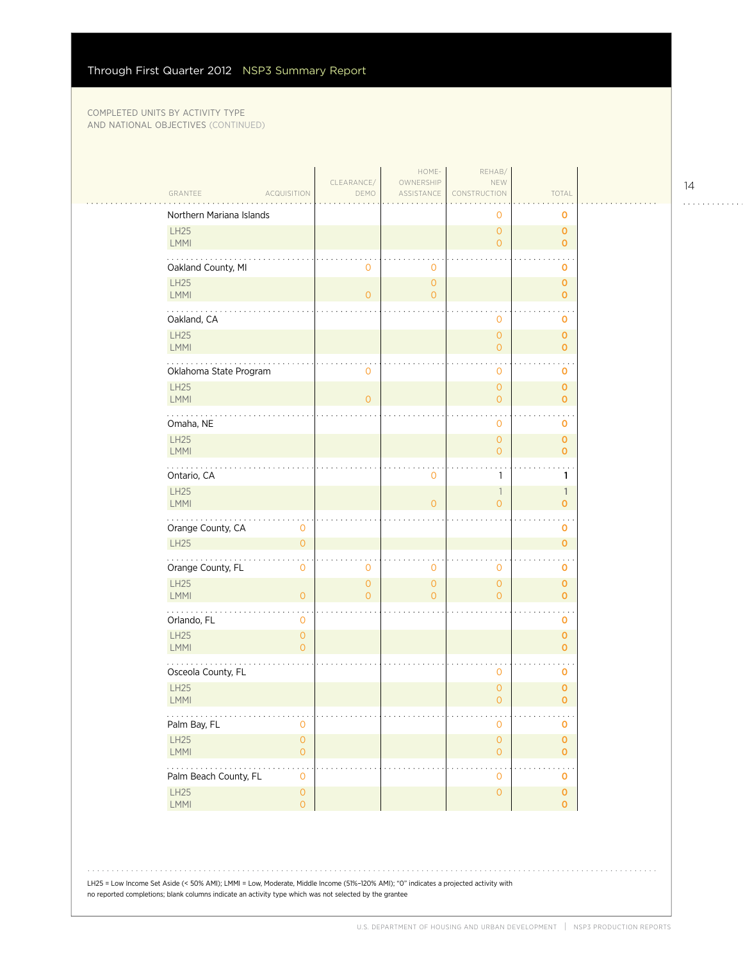$\mathcal{L}_{\mathcal{A}}$ 

| GRANTEE                    | <b>ACQUISITION</b>                         | CLEARANCE/<br>DEMO         | HOME-<br>OWNERSHIP<br>ASSISTANCE      | REHAB/<br>NEW<br>CONSTRUCTION         | TOTAL                        |  |
|----------------------------|--------------------------------------------|----------------------------|---------------------------------------|---------------------------------------|------------------------------|--|
| Northern Mariana Islands   |                                            |                            |                                       | 0                                     | 0                            |  |
| <b>LH25</b><br>LMMI        |                                            |                            |                                       | $\overline{0}$<br>$\overline{0}$      | $\mathbf 0$<br>$\mathbf{O}$  |  |
| Oakland County, MI         |                                            | $\mathbf{0}$               | 0                                     |                                       | O                            |  |
| <b>LH25</b><br>LMMI        |                                            | $\overline{0}$             | $\mathsf{O}\xspace$<br>$\overline{O}$ |                                       | $\mathbf 0$<br>$\mathbf 0$   |  |
| Oakland, CA                |                                            |                            |                                       | 0                                     | O                            |  |
| LH25<br>LMMI               |                                            |                            |                                       | $\overline{0}$<br>0                   | $\mathbf 0$<br>$\mathbf 0$   |  |
| Oklahoma State Program     |                                            | $\circ$                    |                                       | 0                                     | O                            |  |
| <b>LH25</b><br>LMMI        |                                            | $\overline{O}$             |                                       | $\overline{0}$<br>$\overline{0}$      | $\mathbf 0$<br>$\mathbf 0$   |  |
| Omaha, NE                  |                                            |                            |                                       | 0                                     | O                            |  |
| LH25<br>LMMI               |                                            |                            |                                       | $\mathsf{O}\xspace$<br>$\overline{0}$ | $\mathbf 0$<br>$\mathbf{O}$  |  |
| Ontario, CA                |                                            |                            | 0                                     | 1                                     | 1                            |  |
| LH25<br>LMMI               |                                            |                            | $\overline{O}$                        | $\mathbb{1}$<br>$\overline{0}$        | $\mathbb{1}$<br>$\mathbf{o}$ |  |
| Orange County, CA          | $\mathbf 0$                                |                            |                                       |                                       | 0                            |  |
| <b>LH25</b>                | $\mathbf{O}$                               |                            |                                       |                                       | $\mathbf 0$                  |  |
| Orange County, FL          | $\mathbf 0$                                | 0                          | 0                                     | 0                                     | 0                            |  |
| <b>LH25</b><br><b>LMMI</b> | $\mathbf{O}$                               | $\overline{O}$<br>$\Omega$ | $\overline{0}$<br>$\overline{0}$      | $\overline{0}$<br>$\overline{0}$      | $\mathbf 0$<br>$\mathbf 0$   |  |
| .<br>Orlando, FL           | $\mathbf 0$                                |                            |                                       |                                       | O                            |  |
| LH25<br>LMMI               | $\mathsf{O}\xspace$<br>$\Omega$            |                            |                                       |                                       | $\mathbf 0$<br>$\mathbf{O}$  |  |
| Osceola County, FL         |                                            |                            |                                       | 0                                     | 0                            |  |
| <b>LH25</b><br>LMMI        |                                            |                            |                                       | $\mathsf{O}\xspace$<br>$\overline{0}$ | $\circ$<br>$\mathbf 0$       |  |
| .<br>Palm Bay, FL          | $\mathbf 0$                                |                            |                                       | $\mathsf{O}\xspace$                   | $\sim$ $\sim$<br>0           |  |
| LH25<br>LMMI               | $\mathsf{O}\xspace$<br>$\mathsf{O}\xspace$ |                            |                                       | $\mathsf{O}\xspace$<br>$\overline{O}$ | $\pmb{0}$<br>$\mathbf 0$     |  |
| .<br>Palm Beach County, FL | $\mathbf 0$                                |                            |                                       | $\mathbf 0$                           | $\mathbf 0$                  |  |
| LH25<br>LMMI               | $\mathsf{O}\xspace$<br>$\overline{0}$      |                            |                                       | $\mathsf{O}\xspace$                   | $\mathbf 0$<br>$\mathbf{O}$  |  |
|                            |                                            |                            |                                       |                                       |                              |  |

LH25 = Low Income Set Aside (< 50% AMI); LMMI = Low, Moderate, Middle Income (51%–120% AMI); "0" indicates a projected activity with no reported completions; blank columns indicate an activity type which was not selected by the grantee

14

. . . . . . . . . . . .

 $\mathbb{R}$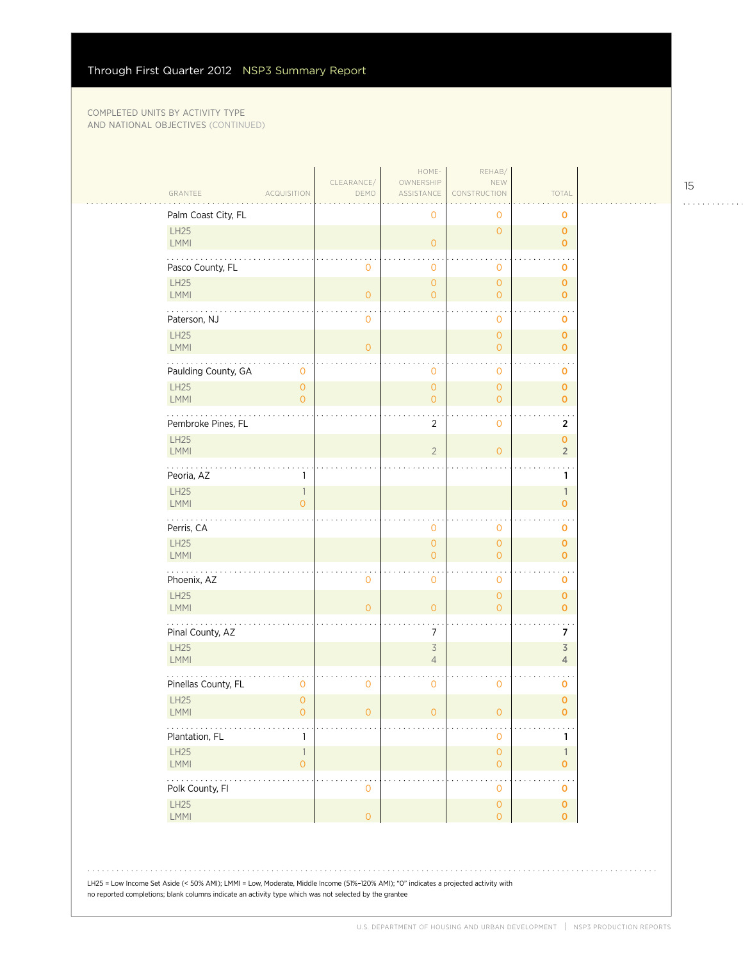$\mathcal{L}_{\mathcal{A}}$ 

| GRANTEE<br><b>ACQUISITION</b>                               | CLEARANCE/<br>DEMO | HOME-<br>OWNERSHIP<br>ASSISTANCE           | REHAB/<br>NEW<br>CONSTRUCTION              | TOTAL                                     |  |
|-------------------------------------------------------------|--------------------|--------------------------------------------|--------------------------------------------|-------------------------------------------|--|
| Palm Coast City, FL                                         |                    | $\mathbf 0$                                | 0                                          | 0                                         |  |
| LH25<br><b>LMMI</b>                                         |                    | $\mathsf{O}\xspace$                        | $\overline{O}$                             | $\mathbf{o}$<br>$\overline{O}$            |  |
| Pasco County, FL                                            | 0                  | $\mathbf 0$                                | $\mathbf 0$                                | 0                                         |  |
| <b>LH25</b><br>LMMI                                         | $\overline{O}$     | $\overline{0}$<br>$\overline{O}$           | $\overline{0}$<br>$\overline{O}$           | $\mathbf 0$<br>$\overline{0}$             |  |
| Paterson, NJ                                                | $\mathbf 0$        |                                            | 0                                          | o                                         |  |
| LH25<br><b>LMMI</b>                                         | $\overline{O}$     |                                            | $\overline{O}$<br>$\overline{0}$           | $\mathbf{o}$<br>$\mathbf{o}$              |  |
| Paulding County, GA<br>$\mathbf 0$                          |                    | $\mathbf 0$                                | $\mathbf 0$                                | 0                                         |  |
| <b>LH25</b><br>$\overline{O}$<br>LMMI<br>$\overline{O}$     |                    | $\mathsf{O}$<br>$\mathbf{O}$               | $\overline{O}$<br>$\overline{O}$           | $\pmb{\mathsf{O}}$<br>$\overline{0}$      |  |
| Pembroke Pines, FL                                          |                    | $\overline{2}$                             | $\mathbf 0$                                | $\overline{2}$                            |  |
| LH25<br>LMMI                                                |                    | $\overline{2}$                             | $\overline{O}$                             | 0<br>$\overline{2}$                       |  |
| Peoria, AZ<br>1                                             |                    |                                            |                                            | 1                                         |  |
| LH25<br>$\mathbb{1}$<br>LMMI<br>$\overline{O}$              |                    |                                            |                                            | $\mathbb{1}$<br>$\overline{O}$            |  |
| Perris, CA                                                  |                    | $\overline{0}$                             | $\mathbf 0$                                | 0                                         |  |
| LH25<br><b>LMMI</b>                                         |                    | $\mathsf{O}$<br>$\mathbf{0}$               | $\overline{O}$<br>$\overline{O}$           | $\overline{0}$<br>$\overline{0}$          |  |
| .<br>Phoenix, AZ                                            | 0                  | $\overline{0}$                             | $\mathbf 0$                                | 0                                         |  |
| LH25<br><b>LMMI</b>                                         | $\overline{O}$     | $\mathbf{O}$                               | $\overline{0}$<br>$\Omega$                 | $\mathbf 0$<br>$\overline{0}$             |  |
| Pinal County, AZ                                            |                    | $\overline{7}$                             |                                            | 7                                         |  |
| <b>LH25</b><br><b>LMMI</b>                                  |                    | $\overline{\mathcal{S}}$<br>$\overline{4}$ |                                            | $\overline{\mathsf{3}}$<br>$\overline{4}$ |  |
| Pinellas County, FL<br>$\mathbf 0$                          | 0                  | $\mathbf 0$                                | $\mathbf 0$                                | 0                                         |  |
| <b>LH25</b><br>$\overline{0}$<br>LMMI<br>0                  | $\mathsf O$        | $\mathsf{O}\xspace$                        | $\mathsf{O}\xspace$                        | $\overline{0}$<br>$\mathbf 0$             |  |
| $\mathbb{Z}^2$ , and $\mathbb{Z}^2$<br>Plantation, FL<br>1  |                    |                                            | $\mathbf 0$                                | 1                                         |  |
| LH25<br>$\ensuremath{\mathsf{1}}$<br>LMMI<br>$\overline{0}$ |                    |                                            | $\mathsf{O}\xspace$<br>$\circ$             | $\mathbf{1}$<br>0                         |  |
| .<br>Polk County, Fl                                        | $\mathsf O$        |                                            | $\ddot{\phantom{1}}$ .<br>$\mathbf{O}$     | $\ddot{\phantom{a}}$<br>0                 |  |
| LH25<br>LMMI                                                | $\circ$            |                                            | $\mathsf{O}\xspace$<br>$\mathsf{O}\xspace$ | $\mathbf 0$<br>$\overline{O}$             |  |

LH25 = Low Income Set Aside (< 50% AMI); LMMI = Low, Moderate, Middle Income (51%–120% AMI); "0" indicates a projected activity with no reported completions; blank columns indicate an activity type which was not selected by the grantee

15

 $1.1.1.1.1.1.1.1.1.1$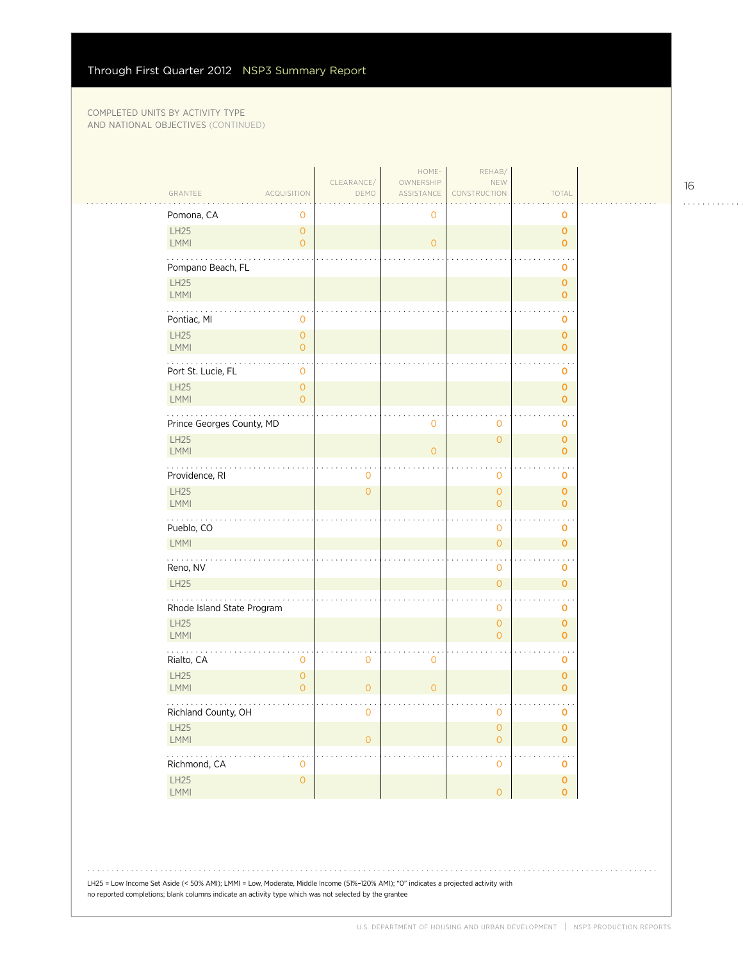| GRANTEE                    | <b>ACQUISITION</b>                    | CLEARANCE/<br>DEMO  | HOME-<br>OWNERSHIP<br>ASSISTANCE | REHAB/<br>NEW<br>CONSTRUCTION         | TOTAL                              |
|----------------------------|---------------------------------------|---------------------|----------------------------------|---------------------------------------|------------------------------------|
| Pomona, CA                 | 0                                     |                     | 0                                |                                       | 0                                  |
| LH25<br>LMMI               | $\mathbf{O}$<br>$\mathbf{O}$          |                     | $\overline{0}$                   |                                       | $\mathbf{O}$<br>$\mathbf 0$        |
| Pompano Beach, FL          |                                       |                     |                                  |                                       | 0                                  |
| <b>LH25</b><br><b>LMMI</b> |                                       |                     |                                  |                                       | $\mathbf{O}$<br>$\mathbf{o}$       |
| Pontiac, MI                | 0                                     |                     |                                  |                                       | 0                                  |
| LH25<br>LMMI               | $\mathsf{O}\xspace$<br>$\overline{O}$ |                     |                                  |                                       | $\pmb{0}$<br>$\mathbf{o}$          |
| .<br>Port St. Lucie, FL    | $\sim$ .<br>$\mathbf 0$               |                     |                                  |                                       | o                                  |
| <b>LH25</b><br>LMMI        | $\mathsf{O}\xspace$<br>$\overline{O}$ |                     |                                  |                                       | $\mathbf{O}$<br>$\mathbf 0$        |
| Prince Georges County, MD  |                                       |                     | 0                                | $\mathbf 0$                           | $\mathbf 0$                        |
| <b>LH25</b><br><b>LMMI</b> |                                       |                     | $\overline{0}$                   | $\overline{0}$                        | $\mathbf{O}$<br>$\mathbf{o}$       |
| .<br>Providence, RI        |                                       | $\mathbf 0$         |                                  | $\mathbf 0$                           | 0                                  |
| <b>LH25</b><br>LMMI        |                                       | $\mathsf{O}\xspace$ |                                  | $\mathsf{O}\xspace$<br>$\overline{O}$ | $\mathbf 0$<br>$\mathbf 0$         |
| Pueblo, CO                 |                                       |                     |                                  | $\mathbf 0$                           | 0                                  |
| LMMI                       |                                       |                     |                                  | $\overline{O}$                        | $\overline{0}$                     |
| Reno, NV                   |                                       |                     |                                  | $\mathbf 0$                           | $\mathbf 0$                        |
| <b>LH25</b>                |                                       |                     |                                  | $\overline{O}$                        | $\mathbf{O}$                       |
| Rhode Island State Program |                                       |                     |                                  | $\mathbf 0$                           | o                                  |
| <b>LH25</b><br>LMMI        |                                       |                     |                                  | $\overline{O}$<br>$\overline{0}$      | $\mathbf{O}$<br>$\mathbf 0$        |
| Rialto, CA                 | $\mathbf 0$                           | $\mathbf 0$         | 0                                |                                       | 0                                  |
| <b>LH25</b><br>LMMI        | $\mathbf{O}$<br>$\overline{0}$        | $\overline{0}$      | $\overline{0}$                   |                                       | $\mathbf{o}$<br>$\mathbf 0$        |
| Richland County, OH        |                                       | $\mathbf 0$         |                                  | $\mathbf 0$                           | 0                                  |
| LH25<br>LMMI               |                                       | $\overline{0}$      |                                  | $\mathsf{O}\xspace$<br>$\overline{O}$ | $\pmb{\mathsf{O}}$<br>$\mathbf{O}$ |
| Richmond, CA               | $\mathbf 0$                           |                     |                                  | 0                                     | $\mathbf 0$                        |
| LH25<br>LMMI               | $\mathsf{O}\xspace$                   |                     |                                  | $\overline{0}$                        | $\mathbf 0$<br>$\mathbf 0$         |
|                            |                                       |                     |                                  |                                       |                                    |

16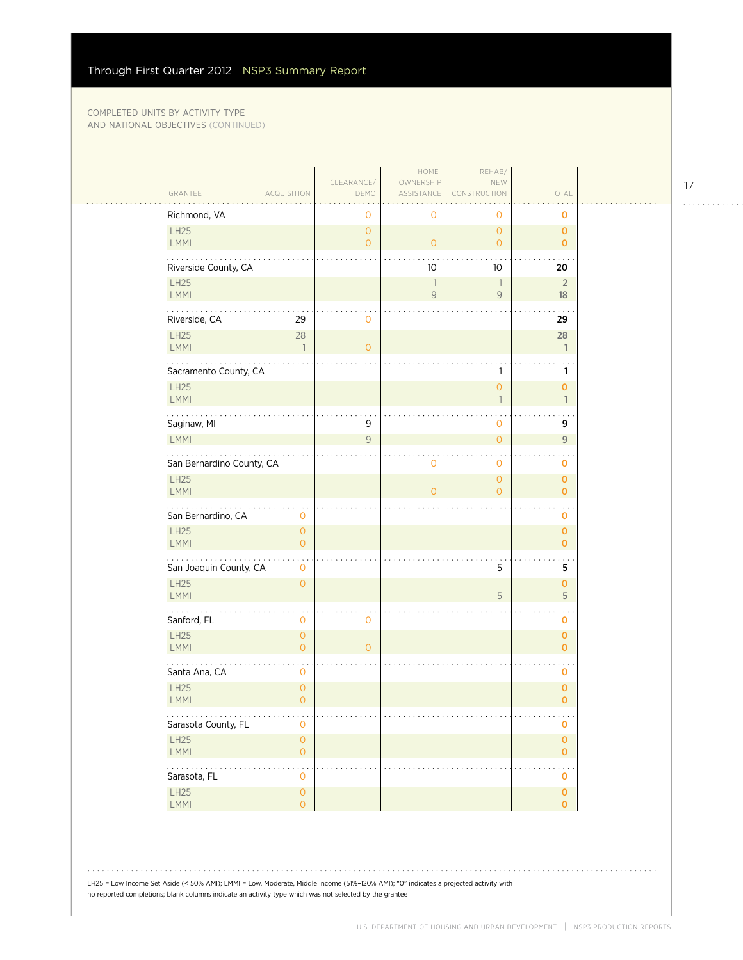| GRANTEE                    | <b>ACQUISITION</b>               | CLEARANCE/<br>DEMO               | HOME-<br>OWNERSHIP<br>ASSISTANCE | REHAB/<br>NEW<br>CONSTRUCTION            | TOTAL                          |  |
|----------------------------|----------------------------------|----------------------------------|----------------------------------|------------------------------------------|--------------------------------|--|
| Richmond, VA               |                                  | 0                                | 0                                | 0                                        | o                              |  |
| LH25<br>LMMI               |                                  | $\overline{O}$<br>$\overline{O}$ | $\overline{O}$                   | $\overline{O}$<br>$\overline{O}$         | $\mathbf 0$<br>$\mathbf{O}$    |  |
| Riverside County, CA       |                                  |                                  | 10                               | 10                                       | 20                             |  |
| <b>LH25</b><br><b>LMMI</b> |                                  |                                  | $\overline{1}$<br>$\mathsf{9}$   | $\overline{\phantom{a}}$<br>$\mathcal G$ | $\overline{2}$<br>18           |  |
| .<br>Riverside, CA         | 29                               | $\mathbf 0$                      |                                  |                                          | 29                             |  |
| LH25<br><b>LMMI</b>        | 28<br>$\overline{1}$             | $\overline{O}$                   |                                  |                                          | 28<br>$\mathbf{1}$             |  |
| Sacramento County, CA      |                                  |                                  |                                  | 1                                        | 1                              |  |
| <b>LH25</b><br><b>LMMI</b> |                                  |                                  |                                  | $\overline{0}$<br>$\mathbf{1}$           | $\mathbf{O}$<br>$\mathbf{1}$   |  |
| Saginaw, MI                |                                  | 9                                |                                  | 0                                        | 9                              |  |
| <b>LMMI</b>                |                                  | 9                                |                                  | $\overline{O}$                           | $\overline{9}$                 |  |
| San Bernardino County, CA  |                                  |                                  | 0                                | 0                                        | 0                              |  |
| LH25<br><b>LMMI</b>        |                                  |                                  | $\overline{0}$                   | $\overline{O}$<br>$\overline{O}$         | 0<br>$\mathbf{o}$              |  |
| San Bernardino, CA         | $\mathbf 0$                      |                                  |                                  |                                          | 0                              |  |
| <b>LH25</b><br>LMMI        | $\overline{O}$<br>$\overline{O}$ |                                  |                                  |                                          | $\mathbf{o}$<br>$\overline{O}$ |  |
| San Joaquin County, CA     | $\mathbf 0$                      |                                  |                                  | 5                                        | 5                              |  |
| <b>LH25</b><br><b>LMMI</b> | $\overline{O}$                   |                                  |                                  | 5                                        | $\mathbf{o}$<br>5              |  |
| Sanford, FL                | 0                                | $\mathbf 0$                      |                                  |                                          | $\sim$ $\sim$<br>0             |  |
| LH25<br><b>LMMI</b>        | $\overline{O}$<br>$\overline{O}$ | $\overline{O}$                   |                                  |                                          | $\mathbf{o}$<br>0              |  |
| Santa Ana, CA              | $\mathbf 0$                      |                                  |                                  |                                          | $\mathbf 0$                    |  |
| <b>LH25</b><br>LMMI        | $\mathbf{O}$<br>$\overline{O}$   |                                  |                                  |                                          | $\mathbf 0$<br>0               |  |
| .<br>Sarasota County, FL   | .<br>$\mathbf{O}$                |                                  |                                  |                                          | e e e<br>$\mathbf 0$           |  |
| LH25<br>LMMI               | $\mathsf O$<br>$\circ$           |                                  |                                  |                                          | $\mathbf 0$<br>$\overline{O}$  |  |
| .<br>Sarasota, FL          | 0                                |                                  |                                  |                                          | 0                              |  |
| LH25<br>LMMI               | $\mathsf O$<br>$\overline{O}$    |                                  |                                  |                                          | $\mathbf{O}$<br>$\overline{0}$ |  |
|                            |                                  |                                  |                                  |                                          |                                |  |

LH25 = Low Income Set Aside (< 50% AMI); LMMI = Low, Moderate, Middle Income (51%–120% AMI); "0" indicates a projected activity with no reported completions; blank columns indicate an activity type which was not selected by the grantee

17

. . . . . . . . . . . .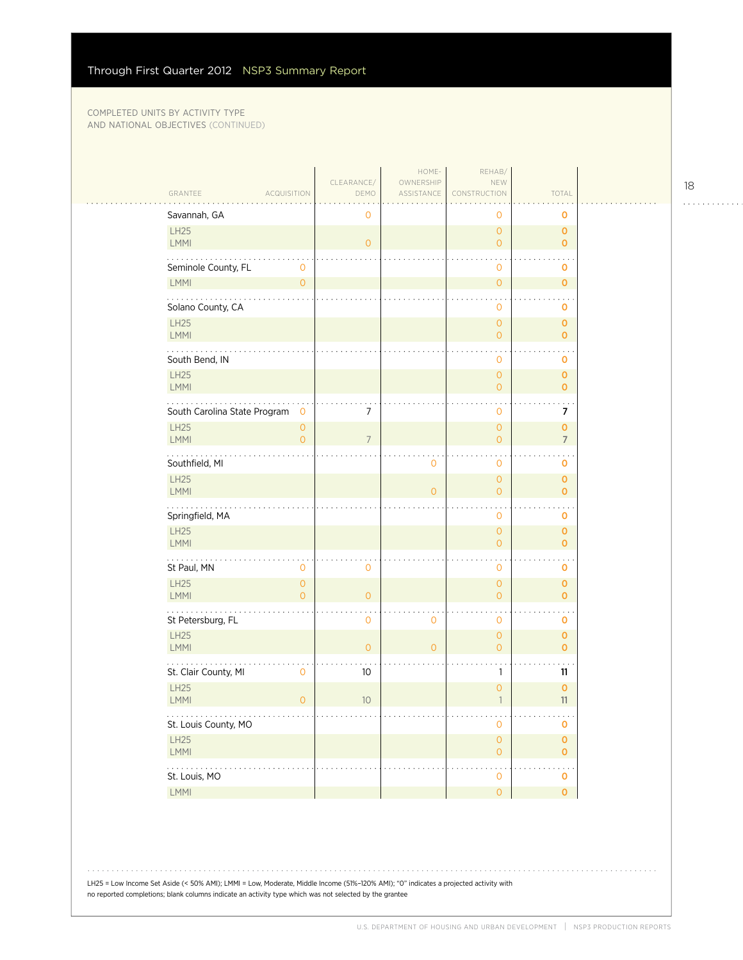| GRANTEE                      | <b>ACQUISITION</b>                    | CLEARANCE/<br>DEMO | HOME-<br>OWNERSHIP<br>ASSISTANCE | REHAB/<br>NEW<br>CONSTRUCTION         | TOTAL                         |  |
|------------------------------|---------------------------------------|--------------------|----------------------------------|---------------------------------------|-------------------------------|--|
| Savannah, GA                 |                                       | 0                  |                                  | Ο                                     | 0                             |  |
| LH25<br>LMMI                 |                                       | $\overline{O}$     |                                  | $\overline{O}$<br>$\overline{0}$      | $\mathbf{O}$<br>$\mathbf{O}$  |  |
| Seminole County, FL          | $\mathbf 0$                           |                    |                                  | $\mathbf 0$                           | $\mathbf 0$                   |  |
| LMMI                         | $\mathbf{O}$                          |                    |                                  | $\overline{O}$                        | $\mathbf{O}$                  |  |
| Solano County, CA            |                                       |                    |                                  | 0                                     | 0                             |  |
| LH25<br>LMMI                 |                                       |                    |                                  | $\mathsf{O}\xspace$<br>$\overline{O}$ | $\mathbf{O}$<br>$\mathbf{o}$  |  |
| .<br>South Bend, IN          |                                       |                    |                                  | 0                                     | 0                             |  |
| LH25<br>LMMI                 |                                       |                    |                                  | $\mathbf{O}$<br>$\overline{O}$        | $\mathbf{O}$<br>$\Omega$      |  |
| South Carolina State Program | $\mathbf 0$                           | 7                  |                                  | $\mathbf{0}$                          | 7                             |  |
| LH25<br>LMMI                 | $\mathsf{O}\xspace$<br>$\overline{O}$ | $\overline{7}$     |                                  | $\overline{O}$<br>$\overline{O}$      | $\mathbf 0$<br>$\overline{7}$ |  |
| Southfield, MI               |                                       |                    | 0                                | $\mathbf 0$                           | O                             |  |
| LH25<br>LMMI                 |                                       |                    | $\overline{0}$                   | $\mathbf{O}$<br>$\overline{O}$        | $\mathbf{O}$<br>$\mathbf 0$   |  |
| Springfield, MA              |                                       |                    |                                  | $\mathbf 0$                           | $\mathbf 0$                   |  |
| LH25<br>LMMI                 |                                       |                    |                                  | $\overline{O}$<br>$\overline{O}$      | $\mathbf{O}$<br>$\Omega$      |  |
| St Paul, MN                  | 0                                     | $\mathbf 0$        |                                  | $\mathbf 0$                           | 0                             |  |
| LH25<br>LMMI                 | $\mathsf O$<br>$\overline{0}$         | $\overline{O}$     |                                  | $\mathsf{O}\xspace$<br>$\overline{O}$ | $\mathbf 0$<br>$\mathbf{o}$   |  |
| St Petersburg, FL            |                                       | $\mathbf 0$        | 0                                | $\mathbf 0$                           | 0                             |  |
| LH25<br>LMMI                 |                                       | $\overline{O}$     | $\overline{O}$                   | $\mathbf{O}$<br>$\overline{O}$        | $\mathbf{O}$<br>$\mathbf{o}$  |  |
| St. Clair County, MI         | $\mathbf 0$                           | 10                 |                                  | 1                                     | 11                            |  |
| <b>LH25</b><br>LMMI          | $\overline{O}$                        | 10                 |                                  | $\circ$<br>$\overline{1}$             | $\mathbf 0$<br>11             |  |
| .<br>St. Louis County, MO    |                                       |                    |                                  | $\ddot{\phantom{1}}$<br>$\mathbf 0$   | $\sim$ $\sim$ $\sim$<br>0     |  |
| LH25<br>LMMI                 |                                       |                    |                                  | $\mathsf{O}\xspace$<br>$\overline{0}$ | $\pmb{0}$<br>$\mathbf{O}$     |  |
| .<br>St. Louis, MO           |                                       |                    |                                  | $\mathbf{O}$                          | $\mathbf 0$                   |  |
| LMMI                         |                                       |                    |                                  | $\overline{0}$                        | $\mathbf{O}$                  |  |

LH25 = Low Income Set Aside (< 50% AMI); LMMI = Low, Moderate, Middle Income (51%–120% AMI); "0" indicates a projected activity with no reported completions; blank columns indicate an activity type which was not selected by the grantee

18

. . . . . . . . . . . .

 $\ddot{\phantom{a}}$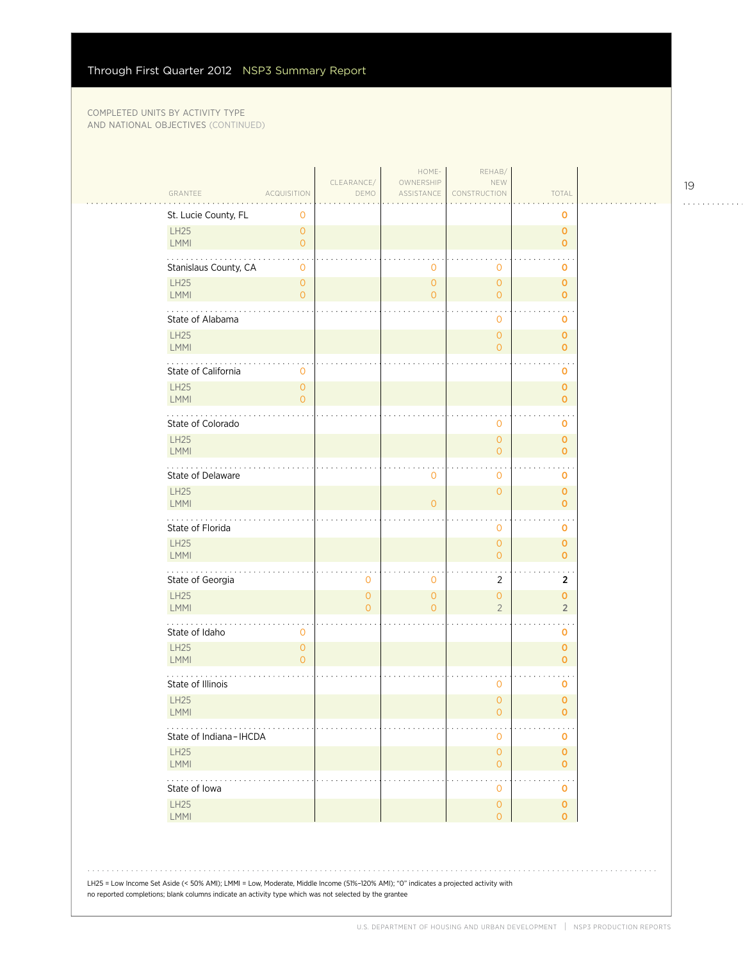| GRANTEE                    | <b>ACQUISITION</b>                    | CLEARANCE/<br>DEMO               | OWNERSHIP<br>ASSISTANCE          | NEW<br>CONSTRUCTION                        | TOTAL                          |
|----------------------------|---------------------------------------|----------------------------------|----------------------------------|--------------------------------------------|--------------------------------|
| St. Lucie County, FL       | 0                                     |                                  |                                  |                                            | 0                              |
| <b>LH25</b><br><b>LMMI</b> | $\circ$<br>$\overline{0}$             |                                  |                                  |                                            | $\mathbf{O}$<br>$\mathbf{O}$   |
| Stanislaus County, CA      | 0                                     |                                  | $\mathbf 0$                      | 0                                          | 0                              |
| <b>LH25</b><br>LMMI        | $\circ$<br>$\overline{0}$             |                                  | $\overline{0}$<br>$\overline{O}$ | $\overline{0}$<br>$\overline{0}$           | $\mathbf 0$<br>$\mathbf{o}$    |
| .<br>State of Alabama      |                                       |                                  |                                  | 0                                          | 0                              |
| <b>LH25</b><br><b>LMMI</b> |                                       |                                  |                                  | $\overline{0}$<br>$\circ$                  | $\mathbf 0$<br>$\mathbf{O}$    |
| State of California        | $\mathbf 0$                           |                                  |                                  |                                            | 0                              |
| <b>LH25</b><br><b>LMMI</b> | $\mathsf{O}\xspace$<br>$\overline{0}$ |                                  |                                  |                                            | $\mathbf{O}$<br>$\mathbf{o}$   |
| State of Colorado          |                                       |                                  |                                  | 0                                          | 0                              |
| <b>LH25</b><br>LMMI        |                                       |                                  |                                  | $\overline{0}$<br>$\overline{0}$           | $\mathbf 0$<br>$\overline{0}$  |
| .<br>State of Delaware     |                                       |                                  | $\mathbf 0$                      | . .<br>$\mathbf 0$                         | 0                              |
| <b>LH25</b><br>LMMI        |                                       |                                  | $\overline{0}$                   | $\overline{0}$                             | $\mathbf 0$<br>$\mathbf{O}$    |
| State of Florida           |                                       |                                  |                                  | . .<br>$\mathbf 0$                         | 0                              |
| <b>LH25</b><br><b>LMMI</b> |                                       |                                  |                                  | $\mathbf 0$<br>$\overline{0}$              | $\mathbf 0$<br>$\overline{0}$  |
| .<br>State of Georgia      |                                       | 0                                | 0                                | 2                                          | 2                              |
| LH25<br><b>LMMI</b>        |                                       | $\overline{0}$<br>$\overline{0}$ | $\overline{0}$<br>$\Omega$       | $\overline{O}$<br>$\overline{2}$           | 0<br>$\overline{2}$            |
| State of Idaho             | 0                                     |                                  |                                  |                                            | 0                              |
| <b>LH25</b><br>LMMI        | $\mathsf{O}\xspace$<br>$\overline{0}$ |                                  |                                  |                                            | $\mathbf 0$<br>$\overline{0}$  |
| State of Illinois          |                                       |                                  |                                  | $\mathbf 0$                                | 0                              |
| LH25<br><b>LMMI</b>        |                                       |                                  |                                  | $\overline{0}$<br>$\mathbf 0$              | $\mathbf{O}$<br>0              |
| State of Indiana-IHCDA     |                                       |                                  |                                  | $\mathbf 0$                                | o                              |
| <b>LH25</b><br>LMMI        |                                       |                                  |                                  | $\mathsf{O}\xspace$<br>$\mathsf{O}\xspace$ | $\mathbf 0$<br>$\mathbf{O}$    |
| .<br>State of Iowa         |                                       |                                  |                                  | . .<br>$\mathbf 0$                         | $\ddot{\phantom{a}}$<br>0      |
| LH25<br>LMMI               |                                       |                                  |                                  | $\mathsf{O}\xspace$<br>$\overline{O}$      | $\mathbf{O}$<br>$\overline{O}$ |

LH25 = Low Income Set Aside (< 50% AMI); LMMI = Low, Moderate, Middle Income (51%–120% AMI); "0" indicates a projected activity with no reported completions; blank columns indicate an activity type which was not selected by the grantee

19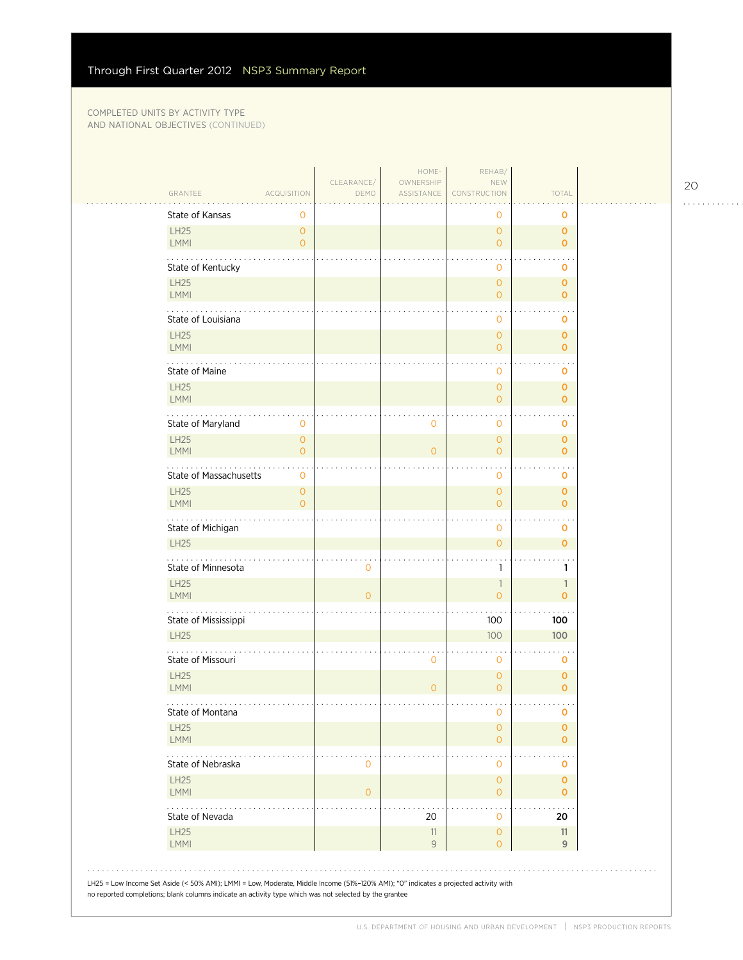| GRANTEE                             | <b>ACQUISITION</b>                    | CLEARANCE/<br>DEMO | HOME-<br>OWNERSHIP<br>ASSISTANCE | REHAB/<br>NEW<br>CONSTRUCTION         | TOTAL                         |  |
|-------------------------------------|---------------------------------------|--------------------|----------------------------------|---------------------------------------|-------------------------------|--|
| State of Kansas                     | 0                                     |                    |                                  | 0                                     | 0                             |  |
| LH25<br><b>LMMI</b>                 | $\overline{O}$<br>$\overline{O}$      |                    |                                  | $\overline{0}$<br>$\overline{0}$      | $\mathbf{O}$<br>$\mathbf{o}$  |  |
| State of Kentucky                   |                                       |                    |                                  | $\mathbf 0$                           | 0                             |  |
| LH25<br>LMMI                        |                                       |                    |                                  | $\overline{O}$<br>$\overline{0}$      | $\mathbf 0$<br>$\overline{0}$ |  |
| State of Louisiana                  |                                       |                    |                                  | $\mathbf{0}$                          | O                             |  |
| LH25<br>LMMI                        |                                       |                    |                                  | $\overline{O}$<br>$\overline{O}$      | $\mathbf 0$<br>$\mathbf 0$    |  |
| State of Maine                      |                                       |                    |                                  | $\mathbf{O}$                          | 0                             |  |
| LH25<br>LMMI                        |                                       |                    |                                  | $\overline{0}$<br>$\overline{O}$      | $\mathbf{O}$<br>$\mathbf 0$   |  |
| State of Maryland                   | 0                                     |                    | 0                                | $\mathbf 0$                           | o                             |  |
| LH25<br><b>LMMI</b>                 | $\mathsf{O}\xspace$<br>$\overline{O}$ |                    | $\overline{O}$                   | $\overline{O}$<br>$\overline{O}$      | $\mathbf 0$<br>$\mathbf 0$    |  |
| State of Massachusetts              | 0                                     |                    |                                  | $\mathbf 0$                           | 0                             |  |
| LH25<br><b>LMMI</b>                 | $\overline{O}$<br>$\overline{O}$      |                    |                                  | $\overline{0}$<br>$\overline{O}$      | $\mathbf 0$<br>$\mathbf{O}$   |  |
| State of Michigan                   |                                       |                    |                                  | $\mathbf{0}$                          | 0                             |  |
| LH25                                |                                       |                    |                                  | $\overline{O}$                        | $\mathbf{o}$                  |  |
| State of Minnesota                  |                                       | $\mathbf 0$        |                                  | 1                                     | 1                             |  |
| LH25<br><b>LMMI</b>                 |                                       | $\overline{0}$     |                                  | $\mathbb{1}$<br>$\circ$               | 1<br>$\mathbf 0$              |  |
| State of Mississippi<br><b>LH25</b> |                                       |                    |                                  | 100<br>100                            | 100<br>100                    |  |
|                                     |                                       |                    |                                  |                                       |                               |  |
| State of Missouri<br><b>LH25</b>    |                                       |                    | 0                                | $\mathbf{0}$<br>$\mathbf{O}$          | $\mathbf 0$<br>$\mathbf 0$    |  |
| LMMI<br>State of Montana            |                                       |                    | $\overline{O}$                   | $\overline{0}$<br>$\mathbf 0$         | $\mathbf 0$<br>0              |  |
| <b>LH25</b><br>LMMI                 |                                       |                    |                                  | $\overline{O}$<br>$\overline{0}$      | $\mathbf 0$<br>$\mathbf{o}$   |  |
| State of Nebraska                   |                                       | $\mathbf 0$        |                                  | 0                                     | o                             |  |
| <b>LH25</b><br>LMMI                 |                                       | $\mathbf{O}$       |                                  | $\overline{0}$<br>$\mathbf{O}$        | $\mathbf{O}$<br>$\mathbf 0$   |  |
| .<br>State of Nevada                |                                       |                    | 20                               | $\mathbf 0$                           | 20                            |  |
| LH25<br>LMMI                        |                                       |                    | 11<br>9                          | $\mathsf{O}\xspace$<br>$\overline{0}$ | 11<br>9                       |  |

20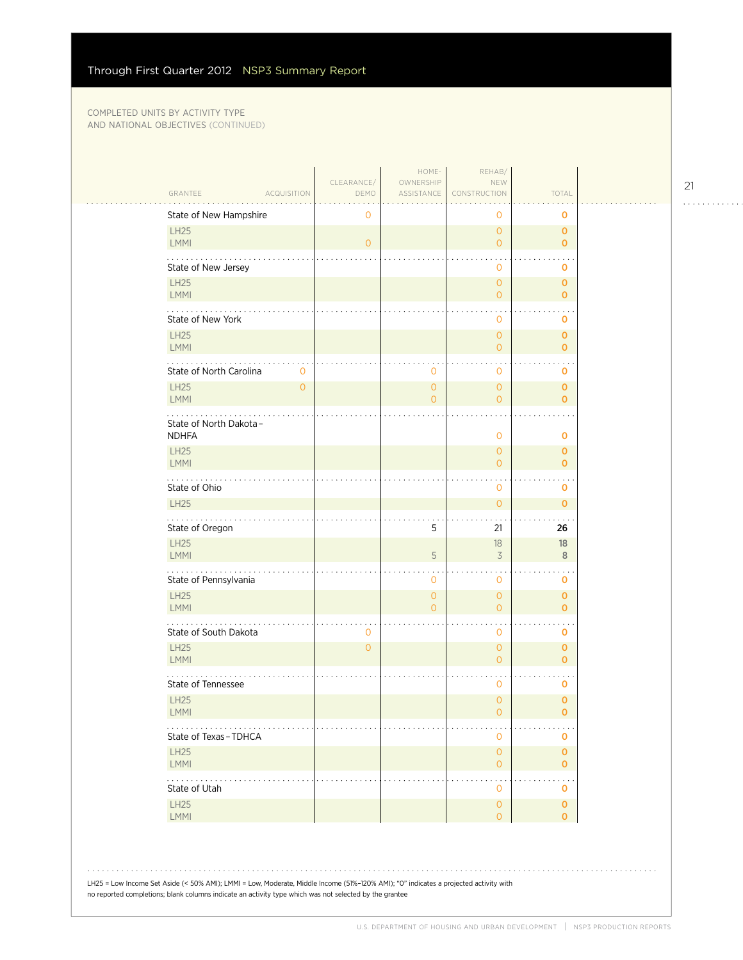|                                            | CLEARANCE/     | HOME-<br>OWNERSHIP             | REHAB/<br>NEW                                           |                                    |
|--------------------------------------------|----------------|--------------------------------|---------------------------------------------------------|------------------------------------|
| GRANTEE<br><b>ACQUISITION</b>              | DEMO           | ASSISTANCE                     | CONSTRUCTION                                            | TOTAL                              |
| State of New Hampshire                     | 0              |                                | $\circ$                                                 | 0                                  |
| <b>LH25</b><br>LMMI                        | $\overline{0}$ |                                | $\overline{0}$<br>$\overline{0}$                        | $\mathbf 0$<br>$\mathbf 0$         |
| State of New Jersey                        |                |                                | $\overline{0}$                                          | o                                  |
| <b>LH25</b><br><b>LMMI</b>                 |                |                                | $\mathbf{O}$<br>$\overline{0}$                          | 0<br>$\mathbf{O}$                  |
| State of New York                          |                |                                | $\mathbf 0$                                             | 0                                  |
| <b>LH25</b><br>LMMI                        |                |                                | $\overline{O}$<br>$\overline{0}$                        | $\mathbf{O}$<br>$\mathbf 0$        |
| State of North Carolina<br>$\mathbf 0$     |                | 0                              | $\mathbf 0$                                             | o                                  |
| <b>LH25</b><br>$\mathsf{O}\xspace$<br>LMMI |                | $\mathbf{O}$<br>$\overline{O}$ | $\overline{0}$<br>$\overline{0}$                        | $\mathbf 0$<br>$\mathbf{O}$        |
| State of North Dakota-<br><b>NDHFA</b>     |                |                                | $\overline{O}$                                          | 0                                  |
| <b>LH25</b>                                |                |                                | $\overline{0}$                                          | $\mathbf{O}$                       |
| <b>LMMI</b><br>State of Ohio               |                |                                | $\overline{0}$<br>$\mathbf 0$                           | $\mathbf 0$<br>o                   |
| <b>LH25</b>                                |                |                                | $\overline{0}$                                          | $\mathbf{O}$                       |
| State of Oregon                            |                | 5                              | 21                                                      | 26                                 |
| LH25<br>LMMI                               |                | 5                              | 18<br>3                                                 | 18<br>8                            |
| .<br>State of Pennsylvania                 |                | 0                              | $\mathbf 0$                                             | 0                                  |
| <b>LH25</b><br>LMMI                        |                | $\overline{0}$                 | $\overline{0}$                                          | $\mathbf 0$                        |
|                                            |                | $\overline{0}$                 | $\overline{0}$                                          | $\mathbf{O}$                       |
| State of South Dakota                      | $\mathbf 0$    |                                | $\mathbf 0$                                             | 0                                  |
| <b>LH25</b><br><b>LMMI</b>                 | $\overline{0}$ |                                | $\overline{0}$<br>$\overline{0}$                        | $\mathbf{O}$<br>$\mathbf 0$        |
| State of Tennessee                         |                |                                | $\mathbf 0$                                             | 0                                  |
| <b>LH25</b><br>LMMI                        |                |                                | $\overline{O}$<br>$\circ$                               | $\mathbf 0$<br>0                   |
| State of Texas-TDHCA                       |                |                                | $\mathsf{O}\xspace$                                     | o                                  |
| LH25<br>LMMI                               |                |                                | $\mathsf{O}\xspace$<br>$\overline{0}$                   | $\pmb{\mathsf{O}}$<br>$\mathbf{O}$ |
| State of Utah<br>LH25                      |                |                                | $\bullet$<br>$\mathsf{O}\xspace$<br>$\mathsf{O}\xspace$ | $\sim$ $\sim$<br>0<br>$\pmb{0}$    |

21

. . . . . . . . . . . .

LH25 = Low Income Set Aside (< 50% AMI); LMMI = Low, Moderate, Middle Income (51%–120% AMI); "0" indicates a projected activity with no reported completions; blank columns indicate an activity type which was not selected by the grantee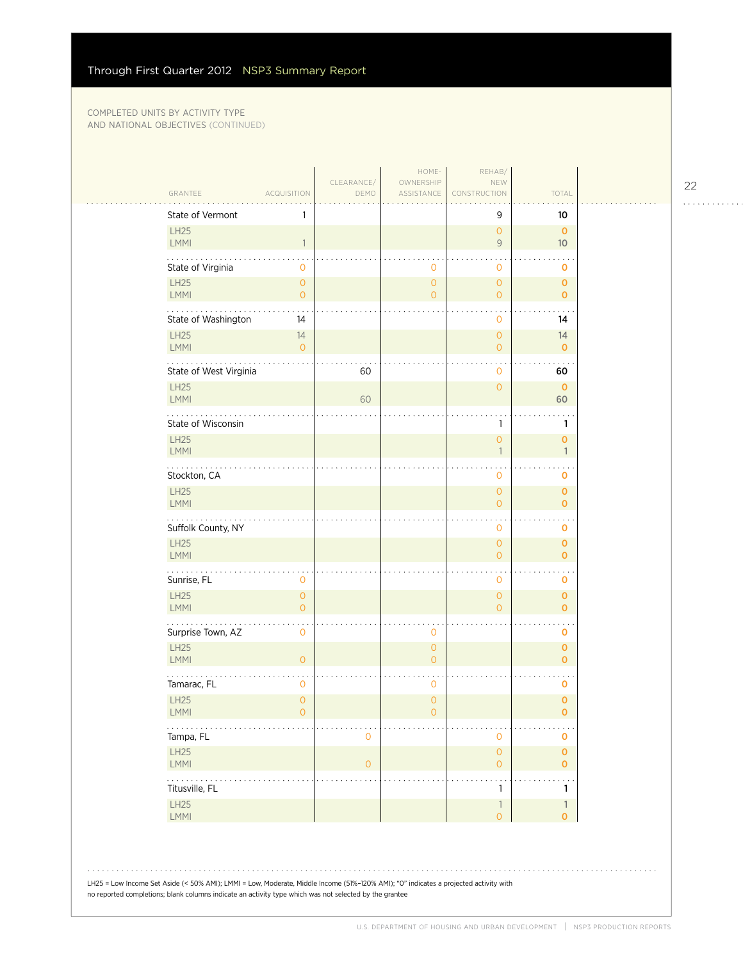| GRANTEE                                                                                                                              | <b>ACQUISITION</b>             | CLEARANCE/<br>DEMO | HOME-<br>OWNERSHIP<br>ASSISTANCE | REHAB/<br>NEW<br>CONSTRUCTION              | TOTAL                         |  |
|--------------------------------------------------------------------------------------------------------------------------------------|--------------------------------|--------------------|----------------------------------|--------------------------------------------|-------------------------------|--|
| State of Vermont                                                                                                                     | 1                              |                    |                                  | 9                                          | 10                            |  |
| LH25<br><b>LMMI</b>                                                                                                                  | $\overline{1}$                 |                    |                                  | $\mathsf{O}\xspace$<br>$\mathsf{9}$        | $\mathbf{O}$<br>10            |  |
| State of Virginia                                                                                                                    | $\mathbf 0$                    |                    | $\mathbf{0}$                     | 0                                          | 0                             |  |
| LH25<br><b>LMMI</b>                                                                                                                  | $\circ$<br>$\mathsf{O}\xspace$ |                    | $\circ$<br>$\overline{O}$        | $\mathsf{O}\xspace$<br>$\overline{0}$      | $\mathbf 0$<br>$\overline{0}$ |  |
| State of Washington                                                                                                                  | 14                             |                    |                                  | 0                                          | 14                            |  |
| LH25<br>LMMI                                                                                                                         | 14<br>$\overline{O}$           |                    |                                  | $\overline{0}$<br>$\overline{0}$           | 14<br>$\mathbf 0$             |  |
| State of West Virginia                                                                                                               |                                | 60                 |                                  | 0                                          | 60                            |  |
| <b>LH25</b><br>LMMI                                                                                                                  |                                | 60                 |                                  | $\overline{0}$                             | $\mathbf 0$<br>60             |  |
| State of Wisconsin                                                                                                                   |                                |                    |                                  | 1                                          | 1                             |  |
| LH25<br>LMMI                                                                                                                         |                                |                    |                                  | $\mathsf{O}\xspace$<br>1                   | $\mathbf 0$<br>$\mathbf{1}$   |  |
| .<br>Stockton, CA                                                                                                                    |                                |                    |                                  | 0                                          | $\mathbf 0$                   |  |
| LH25<br>LMMI                                                                                                                         |                                |                    |                                  | $\mathsf{O}\xspace$<br>$\overline{0}$      | $\mathbf 0$<br>$\mathbf{O}$   |  |
| Suffolk County, NY                                                                                                                   |                                |                    |                                  | $\cdot$<br>0                               | 0                             |  |
| LH25<br>LMMI                                                                                                                         |                                |                    |                                  | $\mathsf{O}\xspace$<br>$\overline{0}$      | $\mathbf 0$<br>$\mathbf 0$    |  |
| .<br>Sunrise, FL                                                                                                                     | $\mathbf 0$                    |                    |                                  | 0                                          | O                             |  |
| LH25<br>LMMI                                                                                                                         | $\circ$<br>$\overline{O}$      |                    |                                  | $\mathsf{O}\xspace$<br>$\overline{0}$      | $\mathbf 0$<br>$\mathbf{O}$   |  |
| Surprise Town, AZ                                                                                                                    | $\mathbf 0$                    |                    | $\mathbf 0$                      |                                            | O                             |  |
| <b>LH25</b><br>LMMI                                                                                                                  | $\overline{O}$                 |                    | $\mathbf{O}$<br>$\overline{O}$   |                                            | $\mathbf 0$<br>$\mathbf 0$    |  |
| Tamarac, FL                                                                                                                          | $\mathbf 0$                    |                    | $\mathbf 0$                      |                                            | 0                             |  |
| LH25<br><b>LMMI</b>                                                                                                                  | $\mathbf{O}$<br>0              |                    | $\overline{O}$<br>0              |                                            | $\pmb{0}$<br>0                |  |
| Tampa, FL                                                                                                                            |                                | 0                  |                                  | $\mathsf{O}\xspace$                        | 0                             |  |
| LH25<br>LMMI                                                                                                                         |                                | $\overline{O}$     |                                  | $\mathsf O$<br>$\mathbf{0}$                | $\mathbf 0$<br>$\mathbf 0$    |  |
| للمنابذ<br>Titusville, FL                                                                                                            |                                |                    |                                  | $\ddot{\phantom{0}}$<br>1                  | 1                             |  |
| LH25<br>LMMI                                                                                                                         |                                |                    |                                  | $\overline{\phantom{a}}$<br>$\overline{0}$ | $\mathbf{1}$<br>$\mathbf{o}$  |  |
| LH25 = Low Income Set Aside (< 50% AMI); LMMI = Low, Moderate, Middle Income (51%-120% AMI); "0" indicates a projected activity with |                                |                    |                                  |                                            |                               |  |

22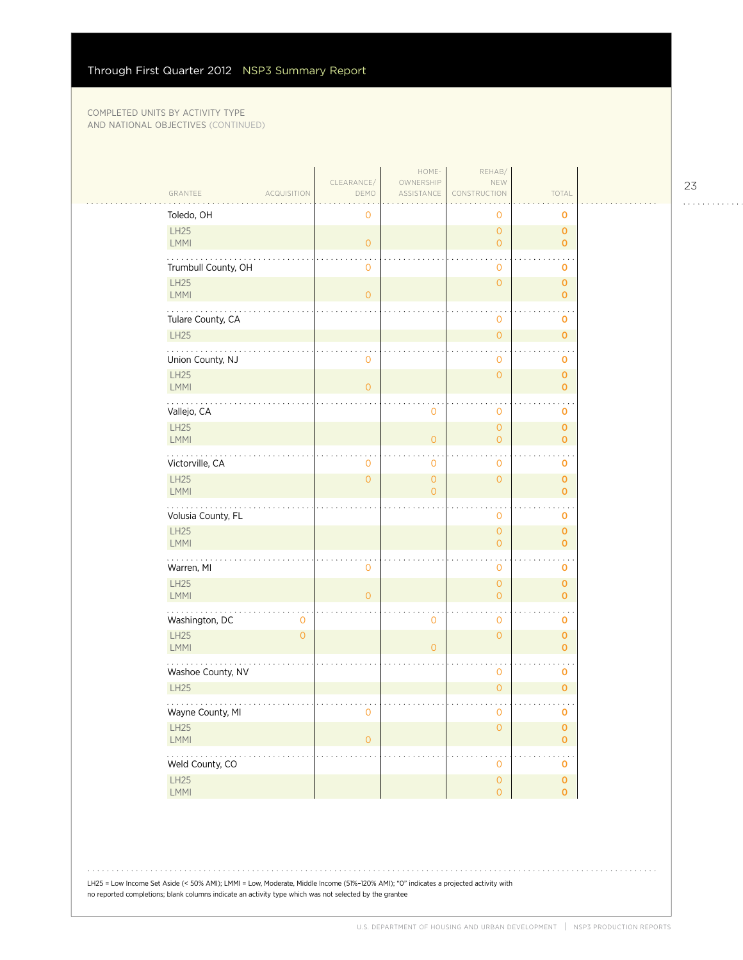| GRANTEE<br>ACQUISITION                     | CLEARANCE/<br>DEMO  | HOME-<br>OWNERSHIP<br>ASSISTANCE | REHAB/<br>NEW<br>CONSTRUCTION              | TOTAL                              |  |
|--------------------------------------------|---------------------|----------------------------------|--------------------------------------------|------------------------------------|--|
| Toledo, OH                                 | 0                   |                                  | $\mathbf 0$                                | $\mathbf 0$                        |  |
| LH25<br>LMMI                               | $\overline{O}$      |                                  | $\mathsf O$<br>$\overline{0}$              | $\mathbf 0$<br>$\mathbf{0}$        |  |
| Trumbull County, OH                        | $\mathbf 0$         |                                  | $\mathbf 0$                                | O                                  |  |
| <b>LH25</b><br>LMMI                        | $\circ$             |                                  | $\mathsf{O}\xspace$                        | $\mathbf 0$<br>$\mathbf{O}$        |  |
| Tulare County, CA                          |                     |                                  | $\mathbf 0$                                | 0                                  |  |
| LH25                                       |                     |                                  | $\mathsf{O}\xspace$                        | $\mathbf{O}$                       |  |
| .<br>Union County, NJ                      | $\mathbf 0$         |                                  | $\mathbf 0$                                | 0                                  |  |
| LH25<br>LMMI                               | $\circ$             |                                  | $\circ$                                    | $\mathbf 0$<br>$\overline{O}$      |  |
| .<br>Vallejo, CA                           |                     | $\mathbf 0$                      | $\mathbf{r}$<br>$\mathbf 0$                | O                                  |  |
| LH25<br>LMMI                               |                     | $\overline{O}$                   | $\mathsf O$<br>$\circ$                     | $\mathbf 0$<br>$\mathbf{0}$        |  |
| Victorville, CA                            | $\mathbf{0}$        | $\mathbf 0$                      | $\mathbf 0$                                | O                                  |  |
| LH25<br>LMMI                               | $\overline{O}$      | $\mathbf{O}$<br>$\overline{0}$   | $\mathsf{O}\xspace$                        | $\mathbf 0$<br>$\mathbf{O}$        |  |
| Volusia County, FL                         |                     |                                  | $\mathbf 0$                                | $\mathbf 0$                        |  |
| LH25<br>LMMI                               |                     |                                  | $\circ$<br>$\mathsf{O}\xspace$             | $\mathbf 0$<br>$\mathbf{O}$        |  |
| .<br>Warren, MI                            | 0                   |                                  | $\cdot$<br>$\mathbf 0$                     | 0                                  |  |
| LH25<br>LMMI                               | $\overline{O}$      |                                  | $\mathsf O$<br>$\circ$                     | $\pmb{0}$<br>$\mathbf{O}$          |  |
| .<br>Washington, DC<br>0                   |                     | $\mathbf 0$                      | $\sim$<br>$\mathsf{O}\xspace$              | 0                                  |  |
| LH25<br>$\mathsf{O}\xspace$<br><b>LMMI</b> |                     | $\overline{O}$                   | $\mathsf{O}\xspace$                        | $\mathbf 0$<br>$\mathbf{O}$        |  |
| Washoe County, NV                          |                     |                                  | $\mathbf 0$                                | $\mathbf 0$                        |  |
| LH25                                       |                     |                                  | $\mathsf{O}\xspace$                        | $\mathbf 0$                        |  |
| Wayne County, MI                           | $\mathsf{O}\xspace$ |                                  | $\mathbf 0$                                | $\mathbf 0$                        |  |
| LH25<br>LMMI                               | $\mathsf{O}\xspace$ |                                  | $\mathsf{O}\xspace$                        | $\pmb{\mathsf{O}}$<br>$\mathbf{O}$ |  |
| .<br>Weld County, CO                       |                     |                                  | $\cdot$<br>$\mathsf{O}\xspace$             | $\mathbf 0$                        |  |
| LH25<br>LMM                                |                     |                                  | $\mathsf{O}\xspace$<br>$\mathsf{O}\xspace$ | $\pmb{\mathsf{O}}$<br>$\mathbf 0$  |  |

LH25 = Low Income Set Aside (< 50% AMI); LMMI = Low, Moderate, Middle Income (51%–120% AMI); "0" indicates a projected activity with no reported completions; blank columns indicate an activity type which was not selected by the grantee

23

. . . . . . . . . . . .